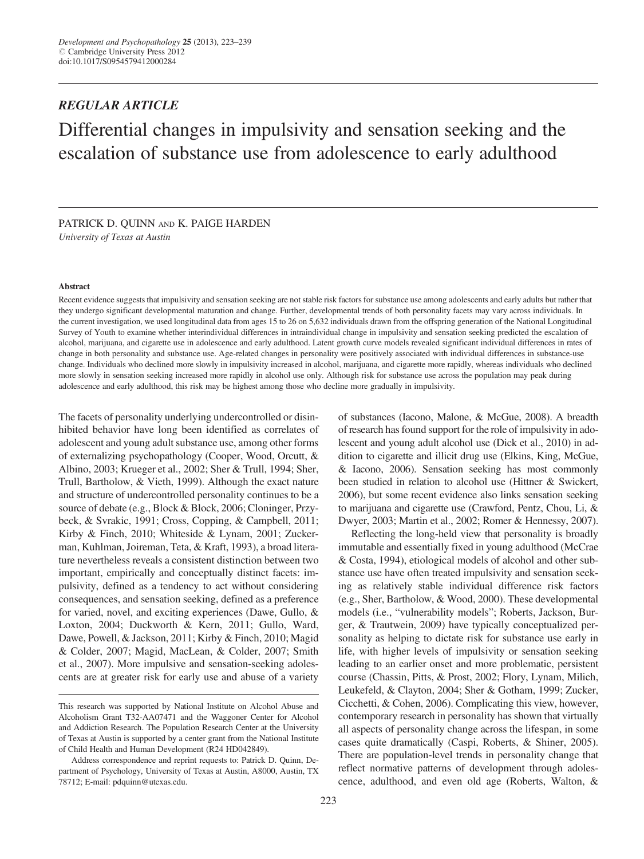# REGULAR ARTICLE

# Differential changes in impulsivity and sensation seeking and the escalation of substance use from adolescence to early adulthood

# PATRICK D. QUINN AND K. PAIGE HARDEN University of Texas at Austin

#### Abstract

Recent evidence suggests that impulsivity and sensation seeking are not stable risk factors for substance use among adolescents and early adults but rather that they undergo significant developmental maturation and change. Further, developmental trends of both personality facets may vary across individuals. In the current investigation, we used longitudinal data from ages 15 to 26 on 5,632 individuals drawn from the offspring generation of the National Longitudinal Survey of Youth to examine whether interindividual differences in intraindividual change in impulsivity and sensation seeking predicted the escalation of alcohol, marijuana, and cigarette use in adolescence and early adulthood. Latent growth curve models revealed significant individual differences in rates of change in both personality and substance use. Age-related changes in personality were positively associated with individual differences in substance-use change. Individuals who declined more slowly in impulsivity increased in alcohol, marijuana, and cigarette more rapidly, whereas individuals who declined more slowly in sensation seeking increased more rapidly in alcohol use only. Although risk for substance use across the population may peak during adolescence and early adulthood, this risk may be highest among those who decline more gradually in impulsivity.

The facets of personality underlying undercontrolled or disinhibited behavior have long been identified as correlates of adolescent and young adult substance use, among other forms of externalizing psychopathology (Cooper, Wood, Orcutt, & Albino, 2003; Krueger et al., 2002; Sher & Trull, 1994; Sher, Trull, Bartholow, & Vieth, 1999). Although the exact nature and structure of undercontrolled personality continues to be a source of debate (e.g., Block & Block, 2006; Cloninger, Przybeck, & Svrakic, 1991; Cross, Copping, & Campbell, 2011; Kirby & Finch, 2010; Whiteside & Lynam, 2001; Zuckerman, Kuhlman, Joireman, Teta, & Kraft, 1993), a broad literature nevertheless reveals a consistent distinction between two important, empirically and conceptually distinct facets: impulsivity, defined as a tendency to act without considering consequences, and sensation seeking, defined as a preference for varied, novel, and exciting experiences (Dawe, Gullo, & Loxton, 2004; Duckworth & Kern, 2011; Gullo, Ward, Dawe, Powell, & Jackson, 2011; Kirby & Finch, 2010; Magid & Colder, 2007; Magid, MacLean, & Colder, 2007; Smith et al., 2007). More impulsive and sensation-seeking adolescents are at greater risk for early use and abuse of a variety

of substances (Iacono, Malone, & McGue, 2008). A breadth of research has found support for the role of impulsivity in adolescent and young adult alcohol use (Dick et al., 2010) in addition to cigarette and illicit drug use (Elkins, King, McGue, & Iacono, 2006). Sensation seeking has most commonly been studied in relation to alcohol use (Hittner & Swickert, 2006), but some recent evidence also links sensation seeking to marijuana and cigarette use (Crawford, Pentz, Chou, Li, & Dwyer, 2003; Martin et al., 2002; Romer & Hennessy, 2007).

Reflecting the long-held view that personality is broadly immutable and essentially fixed in young adulthood (McCrae & Costa, 1994), etiological models of alcohol and other substance use have often treated impulsivity and sensation seeking as relatively stable individual difference risk factors (e.g., Sher, Bartholow, & Wood, 2000). These developmental models (i.e., "vulnerability models"; Roberts, Jackson, Burger, & Trautwein, 2009) have typically conceptualized personality as helping to dictate risk for substance use early in life, with higher levels of impulsivity or sensation seeking leading to an earlier onset and more problematic, persistent course (Chassin, Pitts, & Prost, 2002; Flory, Lynam, Milich, Leukefeld, & Clayton, 2004; Sher & Gotham, 1999; Zucker, Cicchetti, & Cohen, 2006). Complicating this view, however, contemporary research in personality has shown that virtually all aspects of personality change across the lifespan, in some cases quite dramatically (Caspi, Roberts, & Shiner, 2005). There are population-level trends in personality change that reflect normative patterns of development through adolescence, adulthood, and even old age (Roberts, Walton, &

This research was supported by National Institute on Alcohol Abuse and Alcoholism Grant T32-AA07471 and the Waggoner Center for Alcohol and Addiction Research. The Population Research Center at the University of Texas at Austin is supported by a center grant from the National Institute of Child Health and Human Development (R24 HD042849).

Address correspondence and reprint requests to: Patrick D. Quinn, Department of Psychology, University of Texas at Austin, A8000, Austin, TX 78712; E-mail: pdquinn@utexas.edu.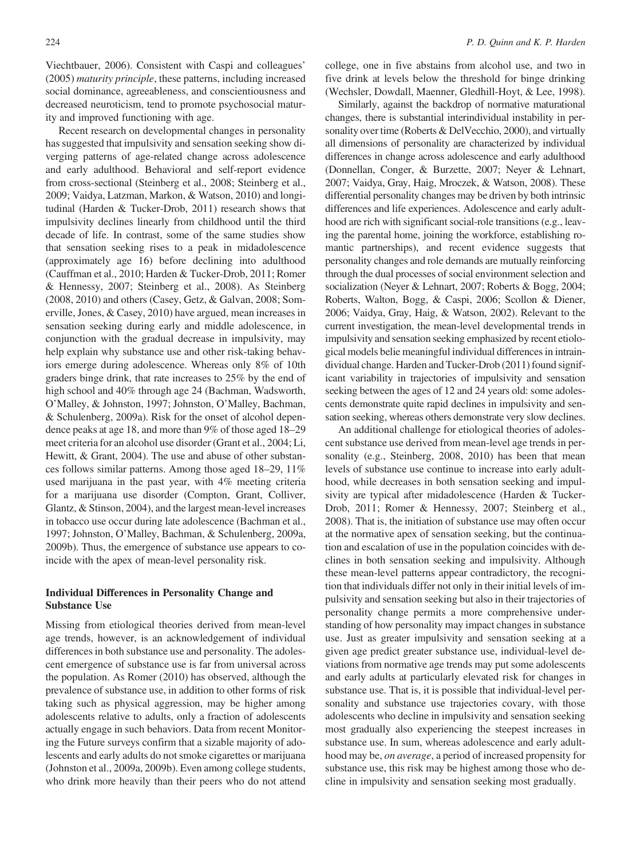Viechtbauer, 2006). Consistent with Caspi and colleagues' (2005) maturity principle, these patterns, including increased social dominance, agreeableness, and conscientiousness and decreased neuroticism, tend to promote psychosocial maturity and improved functioning with age.

Recent research on developmental changes in personality has suggested that impulsivity and sensation seeking show diverging patterns of age-related change across adolescence and early adulthood. Behavioral and self-report evidence from cross-sectional (Steinberg et al., 2008; Steinberg et al., 2009; Vaidya, Latzman, Markon, & Watson, 2010) and longitudinal (Harden & Tucker-Drob, 2011) research shows that impulsivity declines linearly from childhood until the third decade of life. In contrast, some of the same studies show that sensation seeking rises to a peak in midadolescence (approximately age 16) before declining into adulthood (Cauffman et al., 2010; Harden & Tucker-Drob, 2011; Romer & Hennessy, 2007; Steinberg et al., 2008). As Steinberg (2008, 2010) and others (Casey, Getz, & Galvan, 2008; Somerville, Jones, & Casey, 2010) have argued, mean increases in sensation seeking during early and middle adolescence, in conjunction with the gradual decrease in impulsivity, may help explain why substance use and other risk-taking behaviors emerge during adolescence. Whereas only 8% of 10th graders binge drink, that rate increases to 25% by the end of high school and 40% through age 24 (Bachman, Wadsworth, O'Malley, & Johnston, 1997; Johnston, O'Malley, Bachman, & Schulenberg, 2009a). Risk for the onset of alcohol dependence peaks at age 18, and more than 9% of those aged 18–29 meet criteria for an alcohol use disorder (Grant et al., 2004; Li, Hewitt, & Grant, 2004). The use and abuse of other substances follows similar patterns. Among those aged 18–29, 11% used marijuana in the past year, with 4% meeting criteria for a marijuana use disorder (Compton, Grant, Colliver, Glantz, & Stinson, 2004), and the largest mean-level increases in tobacco use occur during late adolescence (Bachman et al., 1997; Johnston, O'Malley, Bachman, & Schulenberg, 2009a, 2009b). Thus, the emergence of substance use appears to coincide with the apex of mean-level personality risk.

# Individual Differences in Personality Change and Substance Use

Missing from etiological theories derived from mean-level age trends, however, is an acknowledgement of individual differences in both substance use and personality. The adolescent emergence of substance use is far from universal across the population. As Romer (2010) has observed, although the prevalence of substance use, in addition to other forms of risk taking such as physical aggression, may be higher among adolescents relative to adults, only a fraction of adolescents actually engage in such behaviors. Data from recent Monitoring the Future surveys confirm that a sizable majority of adolescents and early adults do not smoke cigarettes or marijuana (Johnston et al., 2009a, 2009b). Even among college students, who drink more heavily than their peers who do not attend

college, one in five abstains from alcohol use, and two in five drink at levels below the threshold for binge drinking (Wechsler, Dowdall, Maenner, Gledhill-Hoyt, & Lee, 1998).

Similarly, against the backdrop of normative maturational changes, there is substantial interindividual instability in personality over time (Roberts & DelVecchio, 2000), and virtually all dimensions of personality are characterized by individual differences in change across adolescence and early adulthood (Donnellan, Conger, & Burzette, 2007; Neyer & Lehnart, 2007; Vaidya, Gray, Haig, Mroczek, & Watson, 2008). These differential personality changes may be driven by both intrinsic differences and life experiences. Adolescence and early adulthood are rich with significant social-role transitions (e.g., leaving the parental home, joining the workforce, establishing romantic partnerships), and recent evidence suggests that personality changes and role demands are mutually reinforcing through the dual processes of social environment selection and socialization (Neyer & Lehnart, 2007; Roberts & Bogg, 2004; Roberts, Walton, Bogg, & Caspi, 2006; Scollon & Diener, 2006; Vaidya, Gray, Haig, & Watson, 2002). Relevant to the current investigation, the mean-level developmental trends in impulsivity and sensation seeking emphasized by recent etiological models belie meaningful individual differences in intraindividual change. Harden and Tucker-Drob (2011) found significant variability in trajectories of impulsivity and sensation seeking between the ages of 12 and 24 years old: some adolescents demonstrate quite rapid declines in impulsivity and sensation seeking, whereas others demonstrate very slow declines.

An additional challenge for etiological theories of adolescent substance use derived from mean-level age trends in personality (e.g., Steinberg, 2008, 2010) has been that mean levels of substance use continue to increase into early adulthood, while decreases in both sensation seeking and impulsivity are typical after midadolescence (Harden & Tucker-Drob, 2011; Romer & Hennessy, 2007; Steinberg et al., 2008). That is, the initiation of substance use may often occur at the normative apex of sensation seeking, but the continuation and escalation of use in the population coincides with declines in both sensation seeking and impulsivity. Although these mean-level patterns appear contradictory, the recognition that individuals differ not only in their initial levels of impulsivity and sensation seeking but also in their trajectories of personality change permits a more comprehensive understanding of how personality may impact changes in substance use. Just as greater impulsivity and sensation seeking at a given age predict greater substance use, individual-level deviations from normative age trends may put some adolescents and early adults at particularly elevated risk for changes in substance use. That is, it is possible that individual-level personality and substance use trajectories covary, with those adolescents who decline in impulsivity and sensation seeking most gradually also experiencing the steepest increases in substance use. In sum, whereas adolescence and early adulthood may be, on average, a period of increased propensity for substance use, this risk may be highest among those who decline in impulsivity and sensation seeking most gradually.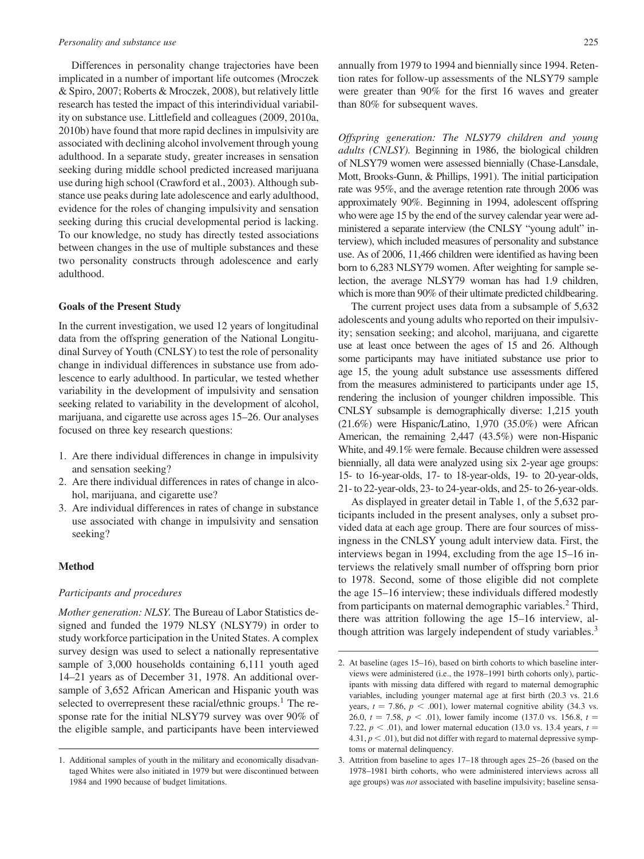Differences in personality change trajectories have been implicated in a number of important life outcomes (Mroczek & Spiro, 2007; Roberts & Mroczek, 2008), but relatively little research has tested the impact of this interindividual variability on substance use. Littlefield and colleagues (2009, 2010a, 2010b) have found that more rapid declines in impulsivity are associated with declining alcohol involvement through young adulthood. In a separate study, greater increases in sensation seeking during middle school predicted increased marijuana use during high school (Crawford et al., 2003). Although substance use peaks during late adolescence and early adulthood, evidence for the roles of changing impulsivity and sensation seeking during this crucial developmental period is lacking. To our knowledge, no study has directly tested associations between changes in the use of multiple substances and these two personality constructs through adolescence and early adulthood.

#### Goals of the Present Study

In the current investigation, we used 12 years of longitudinal data from the offspring generation of the National Longitudinal Survey of Youth (CNLSY) to test the role of personality change in individual differences in substance use from adolescence to early adulthood. In particular, we tested whether variability in the development of impulsivity and sensation seeking related to variability in the development of alcohol, marijuana, and cigarette use across ages 15–26. Our analyses focused on three key research questions:

- 1. Are there individual differences in change in impulsivity and sensation seeking?
- 2. Are there individual differences in rates of change in alcohol, marijuana, and cigarette use?
- 3. Are individual differences in rates of change in substance use associated with change in impulsivity and sensation seeking?

## Method

### Participants and procedures

Mother generation: NLSY. The Bureau of Labor Statistics designed and funded the 1979 NLSY (NLSY79) in order to study workforce participation in the United States. A complex survey design was used to select a nationally representative sample of 3,000 households containing 6,111 youth aged 14–21 years as of December 31, 1978. An additional oversample of 3,652 African American and Hispanic youth was selected to overrepresent these racial/ethnic groups.<sup>1</sup> The response rate for the initial NLSY79 survey was over 90% of the eligible sample, and participants have been interviewed

annually from 1979 to 1994 and biennially since 1994. Retention rates for follow-up assessments of the NLSY79 sample were greater than 90% for the first 16 waves and greater than 80% for subsequent waves.

Offspring generation: The NLSY79 children and young adults (CNLSY). Beginning in 1986, the biological children of NLSY79 women were assessed biennially (Chase-Lansdale, Mott, Brooks-Gunn, & Phillips, 1991). The initial participation rate was 95%, and the average retention rate through 2006 was approximately 90%. Beginning in 1994, adolescent offspring who were age 15 by the end of the survey calendar year were administered a separate interview (the CNLSY "young adult" interview), which included measures of personality and substance use. As of 2006, 11,466 children were identified as having been born to 6,283 NLSY79 women. After weighting for sample selection, the average NLSY79 woman has had 1.9 children, which is more than 90% of their ultimate predicted childbearing.

The current project uses data from a subsample of 5,632 adolescents and young adults who reported on their impulsivity; sensation seeking; and alcohol, marijuana, and cigarette use at least once between the ages of 15 and 26. Although some participants may have initiated substance use prior to age 15, the young adult substance use assessments differed from the measures administered to participants under age 15, rendering the inclusion of younger children impossible. This CNLSY subsample is demographically diverse: 1,215 youth (21.6%) were Hispanic/Latino, 1,970 (35.0%) were African American, the remaining 2,447 (43.5%) were non-Hispanic White, and 49.1% were female. Because children were assessed biennially, all data were analyzed using six 2-year age groups: 15- to 16-year-olds, 17- to 18-year-olds, 19- to 20-year-olds, 21- to 22-year-olds, 23- to 24-year-olds, and 25- to 26-year-olds.

As displayed in greater detail in Table 1, of the 5,632 participants included in the present analyses, only a subset provided data at each age group. There are four sources of missingness in the CNLSY young adult interview data. First, the interviews began in 1994, excluding from the age 15–16 interviews the relatively small number of offspring born prior to 1978. Second, some of those eligible did not complete the age 15–16 interview; these individuals differed modestly from participants on maternal demographic variables.<sup>2</sup> Third, there was attrition following the age 15–16 interview, although attrition was largely independent of study variables.<sup>3</sup>

<sup>1.</sup> Additional samples of youth in the military and economically disadvantaged Whites were also initiated in 1979 but were discontinued between 1984 and 1990 because of budget limitations.

<sup>2.</sup> At baseline (ages 15–16), based on birth cohorts to which baseline interviews were administered (i.e., the 1978–1991 birth cohorts only), participants with missing data differed with regard to maternal demographic variables, including younger maternal age at first birth (20.3 vs. 21.6 years,  $t = 7.86$ ,  $p < .001$ ), lower maternal cognitive ability (34.3 vs. 26.0,  $t = 7.58$ ,  $p < .01$ ), lower family income (137.0 vs. 156.8,  $t =$ 7.22,  $p < .01$ ), and lower maternal education (13.0 vs. 13.4 years,  $t =$  $4.31, p < .01$ ), but did not differ with regard to maternal depressive symptoms or maternal delinquency.

<sup>3.</sup> Attrition from baseline to ages 17–18 through ages 25–26 (based on the 1978–1981 birth cohorts, who were administered interviews across all age groups) was not associated with baseline impulsivity; baseline sensa-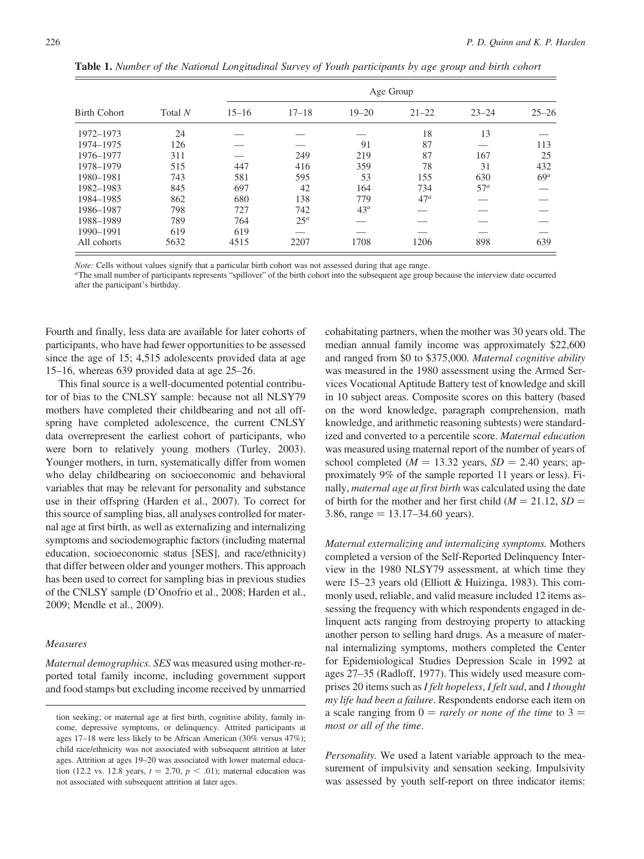|                     |         | Age Group |           |                 |                 |                 |                 |  |  |  |
|---------------------|---------|-----------|-----------|-----------------|-----------------|-----------------|-----------------|--|--|--|
| <b>Birth Cohort</b> | Total N | $15 - 16$ | $17 - 18$ | $19 - 20$       | $21 - 22$       | $23 - 24$       | $25 - 26$       |  |  |  |
| 1972-1973           | 24      |           |           |                 | 18              | 13              |                 |  |  |  |
| 1974-1975           | 126     |           |           | 91              | 87              |                 | 113             |  |  |  |
| 1976-1977           | 311     |           | 249       | 219             | 87              | 167             | 25              |  |  |  |
| 1978-1979           | 515     | 447       | 416       | 359             | 78              | 31              | 432             |  |  |  |
| 1980-1981           | 743     | 581       | 595       | 53              | 155             | 630             | 69 <sup>a</sup> |  |  |  |
| 1982-1983           | 845     | 697       | 42        | 164             | 734             | 57 <sup>a</sup> |                 |  |  |  |
| 1984-1985           | 862     | 680       | 138       | 779             | 47 <sup>a</sup> |                 |                 |  |  |  |
| 1986-1987           | 798     | 727       | 742       | 43 <sup>a</sup> |                 |                 |                 |  |  |  |
| 1988-1989           | 789     | 764       | $25^a$    |                 |                 |                 |                 |  |  |  |
| 1990-1991           | 619     | 619       |           |                 |                 |                 |                 |  |  |  |
| All cohorts         | 5632    | 4515      | 2207      | 1708            | 1206            | 898             | 639             |  |  |  |

Table 1. Number of the National Longitudinal Survey of Youth participants by age group and birth cohort

Note: Cells without values signify that a particular birth cohort was not assessed during that age range.<br>"The small number of participants represents "spillover" of the birth cohort into the subsequent age group because t after the participant's birthday.

Fourth and finally, less data are available for later cohorts of participants, who have had fewer opportunities to be assessed since the age of 15; 4,515 adolescents provided data at age 15–16, whereas 639 provided data at age 25–26.

This final source is a well-documented potential contributor of bias to the CNLSY sample: because not all NLSY79 mothers have completed their childbearing and not all offspring have completed adolescence, the current CNLSY data overrepresent the earliest cohort of participants, who were born to relatively young mothers (Turley, 2003). Younger mothers, in turn, systematically differ from women who delay childbearing on socioeconomic and behavioral variables that may be relevant for personality and substance use in their offspring (Harden et al., 2007). To correct for this source of sampling bias, all analyses controlled for maternal age at first birth, as well as externalizing and internalizing symptoms and sociodemographic factors (including maternal education, socioeconomic status [SES], and race/ethnicity) that differ between older and younger mothers. This approach has been used to correct for sampling bias in previous studies of the CNLSY sample (D'Onofrio et al., 2008; Harden et al., 2009; Mendle et al., 2009).

### Measures

Maternal demographics. SES was measured using mother-reported total family income, including government support and food stamps but excluding income received by unmarried

cohabitating partners, when the mother was 30 years old. The median annual family income was approximately \$22,600 and ranged from \$0 to \$375,000. Maternal cognitive ability was measured in the 1980 assessment using the Armed Services Vocational Aptitude Battery test of knowledge and skill in 10 subject areas. Composite scores on this battery (based on the word knowledge, paragraph comprehension, math knowledge, and arithmetic reasoning subtests) were standardized and converted to a percentile score. Maternal education was measured using maternal report of the number of years of school completed ( $M = 13.32$  years,  $SD = 2.40$  years; approximately 9% of the sample reported 11 years or less). Finally, maternal age at first birth was calculated using the date of birth for the mother and her first child ( $M = 21.12$ ,  $SD =$ 3.86, range  $= 13.17 - 34.60$  years).

Maternal externalizing and internalizing symptoms. Mothers completed a version of the Self-Reported Delinquency Interview in the 1980 NLSY79 assessment, at which time they were 15–23 years old (Elliott & Huizinga, 1983). This commonly used, reliable, and valid measure included 12 items assessing the frequency with which respondents engaged in delinquent acts ranging from destroying property to attacking another person to selling hard drugs. As a measure of maternal internalizing symptoms, mothers completed the Center for Epidemiological Studies Depression Scale in 1992 at ages 27–35 (Radloff, 1977). This widely used measure comprises 20 items such as I felt hopeless, I felt sad, and I thought my life had been a failure. Respondents endorse each item on a scale ranging from  $0 =$  rarely or none of the time to  $3 =$ most or all of the time.

Personality. We used a latent variable approach to the measurement of impulsivity and sensation seeking. Impulsivity was assessed by youth self-report on three indicator items:

tion seeking; or maternal age at first birth, cognitive ability, family income, depressive symptoms, or delinquency. Attrited participants at ages 17–18 were less likely to be African American (30% versus 47%); child race/ethnicity was not associated with subsequent attrition at later ages. Attrition at ages 19–20 was associated with lower maternal education (12.2 vs. 12.8 years,  $t = 2.70$ ,  $p < .01$ ); maternal education was not associated with subsequent attrition at later ages.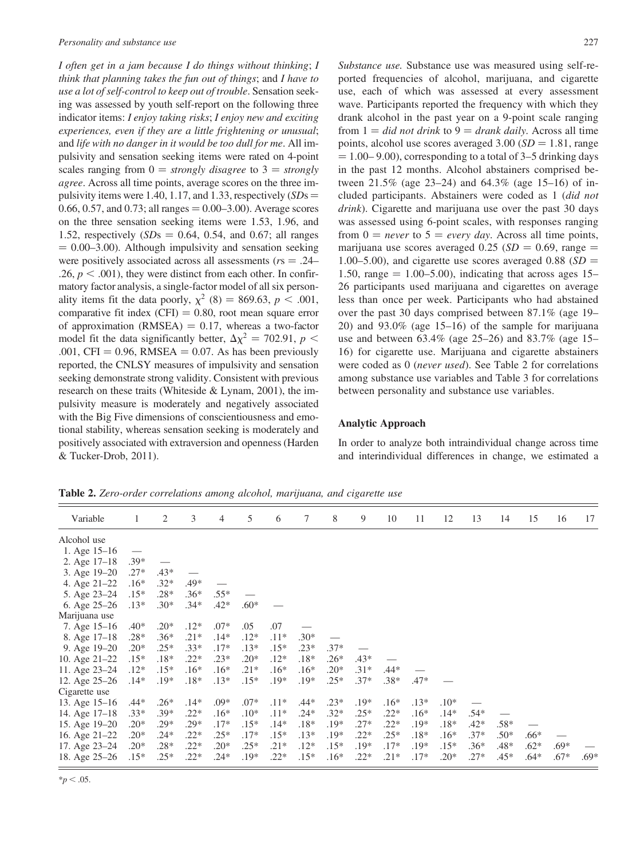I often get in a jam because I do things without thinking; I think that planning takes the fun out of things; and I have to use a lot of self-control to keep out of trouble. Sensation seeking was assessed by youth self-report on the following three indicator items: I enjoy taking risks; I enjoy new and exciting experiences, even if they are a little frightening or unusual; and life with no danger in it would be too dull for me. All impulsivity and sensation seeking items were rated on 4-point scales ranging from  $0 =$  strongly disagree to  $3 =$  strongly agree. Across all time points, average scores on the three impulsivity items were 1.40, 1.17, and 1.33, respectively  $(SDs =$ 0.66, 0.57, and 0.73; all ranges  $= 0.00-3.00$ ). Average scores on the three sensation seeking items were 1.53, 1.96, and 1.52, respectively  $(SDs = 0.64, 0.54, \text{ and } 0.67; \text{ all ranges})$  $= 0.00-3.00$ . Although impulsivity and sensation seeking were positively associated across all assessments ( $rs = .24-$ .26,  $p < .001$ ), they were distinct from each other. In confirmatory factor analysis, a single-factor model of all six personality items fit the data poorly,  $\chi^2$  (8) = 869.63, p < .001, comparative fit index  $(CFI) = 0.80$ , root mean square error of approximation  $(RMSEA) = 0.17$ , whereas a two-factor model fit the data significantly better,  $\Delta \chi^2 = 702.91$ ,  $p <$ .001, CFI = 0.96, RMSEA = 0.07. As has been previously reported, the CNLSY measures of impulsivity and sensation seeking demonstrate strong validity. Consistent with previous research on these traits (Whiteside & Lynam, 2001), the impulsivity measure is moderately and negatively associated with the Big Five dimensions of conscientiousness and emotional stability, whereas sensation seeking is moderately and positively associated with extraversion and openness (Harden & Tucker-Drob, 2011).

Substance use. Substance use was measured using self-reported frequencies of alcohol, marijuana, and cigarette use, each of which was assessed at every assessment wave. Participants reported the frequency with which they drank alcohol in the past year on a 9-point scale ranging from  $1 = did not drink to 9 = drink daily. Across all time$ points, alcohol use scores averaged 3.00 ( $SD = 1.81$ , range  $= 1.00-9.00$ , corresponding to a total of 3–5 drinking days in the past 12 months. Alcohol abstainers comprised between 21.5% (age 23–24) and 64.3% (age 15–16) of included participants. Abstainers were coded as 1 (did not drink). Cigarette and marijuana use over the past 30 days was assessed using 6-point scales, with responses ranging from  $0 = never$  to  $5 = every$  day. Across all time points, marijuana use scores averaged 0.25 ( $SD = 0.69$ , range = 1.00–5.00), and cigarette use scores averaged 0.88 ( $SD =$ 1.50, range  $= 1.00 - 5.00$ , indicating that across ages 15– 26 participants used marijuana and cigarettes on average less than once per week. Participants who had abstained over the past 30 days comprised between 87.1% (age 19– 20) and 93.0% (age 15–16) of the sample for marijuana use and between 63.4% (age 25–26) and 83.7% (age 15– 16) for cigarette use. Marijuana and cigarette abstainers were coded as 0 (never used). See Table 2 for correlations among substance use variables and Table 3 for correlations between personality and substance use variables.

#### Analytic Approach

In order to analyze both intraindividual change across time and interindividual differences in change, we estimated a

Table 2. Zero-order correlations among alcohol, marijuana, and cigarette use

| Variable       | 1                 | 2      | 3      | 4      | 5      | 6      | 7      | 8      | 9      | 10     | 11     | 12     | 13     | 14     | 15     | 16     | 17     |
|----------------|-------------------|--------|--------|--------|--------|--------|--------|--------|--------|--------|--------|--------|--------|--------|--------|--------|--------|
| Alcohol use    |                   |        |        |        |        |        |        |        |        |        |        |        |        |        |        |        |        |
| 1. Age $15-16$ | $\hspace{0.05cm}$ |        |        |        |        |        |        |        |        |        |        |        |        |        |        |        |        |
| 2. Age 17-18   | $.39*$            |        |        |        |        |        |        |        |        |        |        |        |        |        |        |        |        |
| 3. Age 19-20   | $.27*$            | $.43*$ |        |        |        |        |        |        |        |        |        |        |        |        |        |        |        |
| 4. Age 21-22   | $.16*$            | $.32*$ | .49*   |        |        |        |        |        |        |        |        |        |        |        |        |        |        |
| 5. Age 23-24   | $.15*$            | $.28*$ | $.36*$ | $.55*$ |        |        |        |        |        |        |        |        |        |        |        |        |        |
| 6. Age 25-26   | $.13*$            | $.30*$ | $.34*$ | $.42*$ | $.60*$ |        |        |        |        |        |        |        |        |        |        |        |        |
| Marijuana use  |                   |        |        |        |        |        |        |        |        |        |        |        |        |        |        |        |        |
| 7. Age 15-16   | $.40*$            | $.20*$ | $.12*$ | $.07*$ | .05    | .07    |        |        |        |        |        |        |        |        |        |        |        |
| 8. Age 17-18   | $.28*$            | $.36*$ | $.21*$ | $.14*$ | $.12*$ | $.11*$ | $.30*$ |        |        |        |        |        |        |        |        |        |        |
| 9. Age 19-20   | $.20*$            | $.25*$ | $.33*$ | $.17*$ | $.13*$ | $.15*$ | $.23*$ | $.37*$ |        |        |        |        |        |        |        |        |        |
| 10. Age 21-22  | $.15*$            | $.18*$ | $.22*$ | $.23*$ | $.20*$ | $.12*$ | $.18*$ | $.26*$ | $.43*$ |        |        |        |        |        |        |        |        |
| 11. Age 23-24  | $.12*$            | $.15*$ | $.16*$ | $.16*$ | $.21*$ | $.16*$ | $.16*$ | $.20*$ | $.31*$ | $.44*$ |        |        |        |        |        |        |        |
| 12. Age 25-26  | $.14*$            | $.19*$ | $.18*$ | $.13*$ | $.15*$ | $.19*$ | $.19*$ | $.25*$ | $.37*$ | $.38*$ | $.47*$ |        |        |        |        |        |        |
| Cigarette use  |                   |        |        |        |        |        |        |        |        |        |        |        |        |        |        |        |        |
| 13. Age 15–16  | $.44*$            | $.26*$ | $.14*$ | $.09*$ | $.07*$ | $.11*$ | .44*   | $.23*$ | $.19*$ | $.16*$ | $.13*$ | $.10*$ |        |        |        |        |        |
| 14. Age 17-18  | $.33*$            | $.39*$ | $.22*$ | $.16*$ | $.10*$ | $.11*$ | $.24*$ | $.32*$ | $.25*$ | $.22*$ | $.16*$ | $.14*$ | $.54*$ |        |        |        |        |
| 15. Age 19-20  | $.20*$            | $.29*$ | $.29*$ | $.17*$ | $.15*$ | $.14*$ | $.18*$ | $.19*$ | $.27*$ | $.22*$ | $.19*$ | $.18*$ | $.42*$ | $.58*$ |        |        |        |
| 16. Age 21-22  | $.20*$            | $.24*$ | $.22*$ | $.25*$ | $.17*$ | $.15*$ | $.13*$ | $.19*$ | $.22*$ | $.25*$ | $.18*$ | $.16*$ | $.37*$ | $.50*$ | $.66*$ |        |        |
| 17. Age 23-24  | $.20*$            | $.28*$ | $.22*$ | $.20*$ | $.25*$ | $.21*$ | $.12*$ | $.15*$ | $.19*$ | $.17*$ | $.19*$ | $.15*$ | $.36*$ | $.48*$ | $.62*$ | .69*   |        |
| 18. Age 25–26  | $.15*$            | $.25*$ | $.22*$ | $.24*$ | $.19*$ | $.22*$ | $.15*$ | $.16*$ | $.22*$ | $.21*$ | $.17*$ | $.20*$ | $.27*$ | $.45*$ | $.64*$ | $.67*$ | $.69*$ |
|                |                   |        |        |        |        |        |        |        |        |        |        |        |        |        |        |        |        |

 $*_{p} < .05.$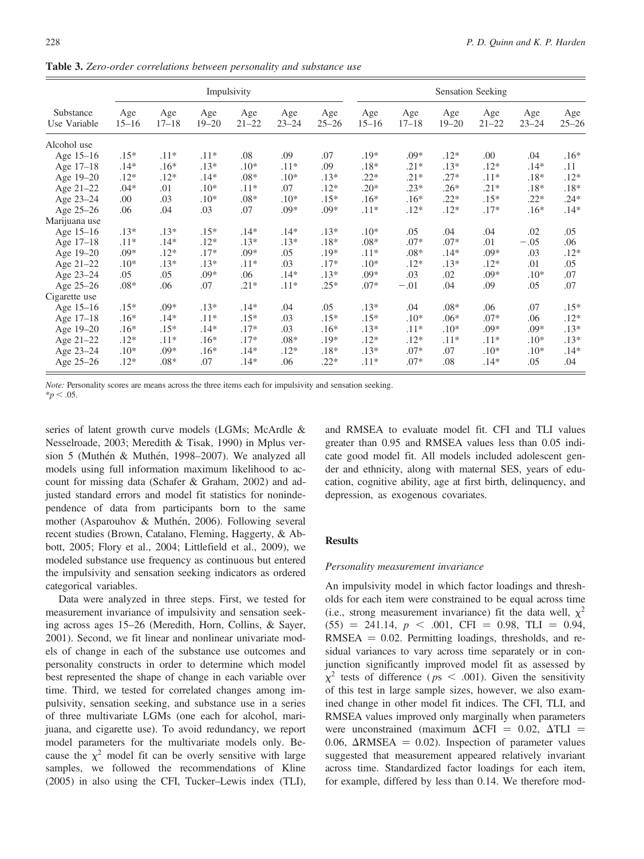|                           | Impulsivity      |                  |                  |                  |                  | <b>Sensation Seeking</b> |                  |                  |                  |                  |                  |                  |
|---------------------------|------------------|------------------|------------------|------------------|------------------|--------------------------|------------------|------------------|------------------|------------------|------------------|------------------|
| Substance<br>Use Variable | Age<br>$15 - 16$ | Age<br>$17 - 18$ | Age<br>$19 - 20$ | Age<br>$21 - 22$ | Age<br>$23 - 24$ | Age<br>$25 - 26$         | Age<br>$15 - 16$ | Age<br>$17 - 18$ | Age<br>$19 - 20$ | Age<br>$21 - 22$ | Age<br>$23 - 24$ | Age<br>$25 - 26$ |
| Alcohol use               |                  |                  |                  |                  |                  |                          |                  |                  |                  |                  |                  |                  |
| Age 15-16                 | $.15*$           | $.11*$           | $.11*$           | .08              | .09              | .07                      | $.19*$           | $.09*$           | $.12*$           | .00              | .04              | $.16*$           |
| Age 17-18                 | $.14*$           | $.16*$           | $.13*$           | $.10*$           | $.11*$           | .09                      | $.18*$           | $.21*$           | $.13*$           | $.12*$           | $.14*$           | .11              |
| Age 19-20                 | $.12*$           | $.12*$           | $.14*$           | $.08*$           | $.10*$           | $.13*$                   | $.22*$           | $.21*$           | $.27*$           | $.11*$           | $.18*$           | $.12*$           |
| Age 21-22                 | $.04*$           | .01              | $.10*$           | $.11*$           | .07              | $.12*$                   | $.20*$           | $.23*$           | $.26*$           | $.21*$           | $.18*$           | $.18*$           |
| Age 23-24                 | .00              | .03              | $.10*$           | $.08*$           | $.10*$           | $.15*$                   | $.16*$           | $.16*$           | $.22*$           | $.15*$           | $.22*$           | $.24*$           |
| Age 25-26                 | .06              | .04              | .03              | .07              | $.09*$           | $.09*$                   | $.11*$           | $.12*$           | $.12*$           | $.17*$           | $.16*$           | $.14*$           |
| Marijuana use             |                  |                  |                  |                  |                  |                          |                  |                  |                  |                  |                  |                  |
| Age 15-16                 | $.13*$           | $.13*$           | $.15*$           | $.14*$           | $.14*$           | $.13*$                   | $.10*$           | .05              | .04              | .04              | .02              | .05              |
| Age 17-18                 | $.11*$           | $.14*$           | $.12*$           | $.13*$           | $.13*$           | $.18*$                   | $.08*$           | $.07*$           | $.07*$           | .01              | $-.05$           | .06              |
| Age 19-20                 | $.09*$           | $.12*$           | $.17*$           | $.09*$           | .05              | $.19*$                   | $.11*$           | $.08*$           | $.14*$           | $.09*$           | .03              | $.12*$           |
| Age 21-22                 | $.10*$           | $.13*$           | $.13*$           | $.11*$           | .03              | $.17*$                   | $.10*$           | $.12*$           | $.13*$           | $.12*$           | .01              | .05              |
| Age 23-24                 | .05              | .05              | .09*             | .06              | $.14*$           | $.13*$                   | $.09*$           | .03              | .02              | $.09*$           | $.10*$           | .07              |
| Age 25-26                 | $.08*$           | .06              | .07              | $.21*$           | $.11*$           | $.25*$                   | $.07*$           | $-.01$           | .04              | .09              | .05              | .07              |
| Cigarette use             |                  |                  |                  |                  |                  |                          |                  |                  |                  |                  |                  |                  |
| Age 15-16                 | $.15*$           | $.09*$           | $.13*$           | $.14*$           | .04              | .05                      | $.13*$           | .04              | $.08*$           | .06              | .07              | $.15*$           |
| Age 17-18                 | $.16*$           | $.14*$           | $.11*$           | $.15*$           | .03              | $.15*$                   | $.15*$           | $.10*$           | $.06*$           | $.07*$           | .06              | $.12*$           |
| Age 19-20                 | $.16*$           | $.15*$           | $.14*$           | $.17*$           | .03              | $.16*$                   | $.13*$           | $.11*$           | $.10*$           | $.09*$           | $.09*$           | $.13*$           |
| Age 21-22                 | $.12*$           | $.11*$           | $.16*$           | $.17*$           | $.08*$           | .19*                     | $.12*$           | $.12*$           | $.11*$           | $.11*$           | $.10*$           | $.13*$           |
| Age 23-24                 | $.10*$           | $.09*$           | $.16*$           | $.14*$           | $.12*$           | $.18*$                   | $.13*$           | $.07*$           | .07              | $.10*$           | $.10*$           | $.14*$           |
| Age 25-26                 | $.12*$           | $.08*$           | .07              | $.14*$           | .06              | $.22*$                   | $.11*$           | $.07*$           | .08              | $.14*$           | .05              | .04              |

Table 3. Zero-order correlations between personality and substance use

Note: Personality scores are means across the three items each for impulsivity and sensation seeking.

 $*_{p} < .05$ .

series of latent growth curve models (LGMs; McArdle & Nesselroade, 2003; Meredith & Tisak, 1990) in Mplus version 5 (Muthén & Muthén, 1998–2007). We analyzed all models using full information maximum likelihood to account for missing data (Schafer & Graham, 2002) and adjusted standard errors and model fit statistics for nonindependence of data from participants born to the same mother (Asparouhov & Muthén, 2006). Following several recent studies (Brown, Catalano, Fleming, Haggerty, & Abbott, 2005; Flory et al., 2004; Littlefield et al., 2009), we modeled substance use frequency as continuous but entered the impulsivity and sensation seeking indicators as ordered categorical variables.

Data were analyzed in three steps. First, we tested for measurement invariance of impulsivity and sensation seeking across ages 15–26 (Meredith, Horn, Collins, & Sayer, 2001). Second, we fit linear and nonlinear univariate models of change in each of the substance use outcomes and personality constructs in order to determine which model best represented the shape of change in each variable over time. Third, we tested for correlated changes among impulsivity, sensation seeking, and substance use in a series of three multivariate LGMs (one each for alcohol, marijuana, and cigarette use). To avoid redundancy, we report model parameters for the multivariate models only. Because the  $\chi^2$  model fit can be overly sensitive with large samples, we followed the recommendations of Kline (2005) in also using the CFI, Tucker–Lewis index (TLI),

and RMSEA to evaluate model fit. CFI and TLI values greater than 0.95 and RMSEA values less than 0.05 indicate good model fit. All models included adolescent gender and ethnicity, along with maternal SES, years of education, cognitive ability, age at first birth, delinquency, and depression, as exogenous covariates.

# **Results**

# Personality measurement invariance

An impulsivity model in which factor loadings and thresholds for each item were constrained to be equal across time (i.e., strong measurement invariance) fit the data well,  $\chi^2$  $(55)$  = 241.14,  $p \lt .001$ , CFI = 0.98, TLI = 0.94,  $RMSEA = 0.02$ . Permitting loadings, thresholds, and residual variances to vary across time separately or in conjunction significantly improved model fit as assessed by  $\chi^2$  tests of difference ( $ps < .001$ ). Given the sensitivity of this test in large sample sizes, however, we also examined change in other model fit indices. The CFI, TLI, and RMSEA values improved only marginally when parameters were unconstrained (maximum  $\Delta$ CFI = 0.02,  $\Delta$ TLI = 0.06,  $\triangle$ RMSEA = 0.02). Inspection of parameter values suggested that measurement appeared relatively invariant across time. Standardized factor loadings for each item, for example, differed by less than 0.14. We therefore mod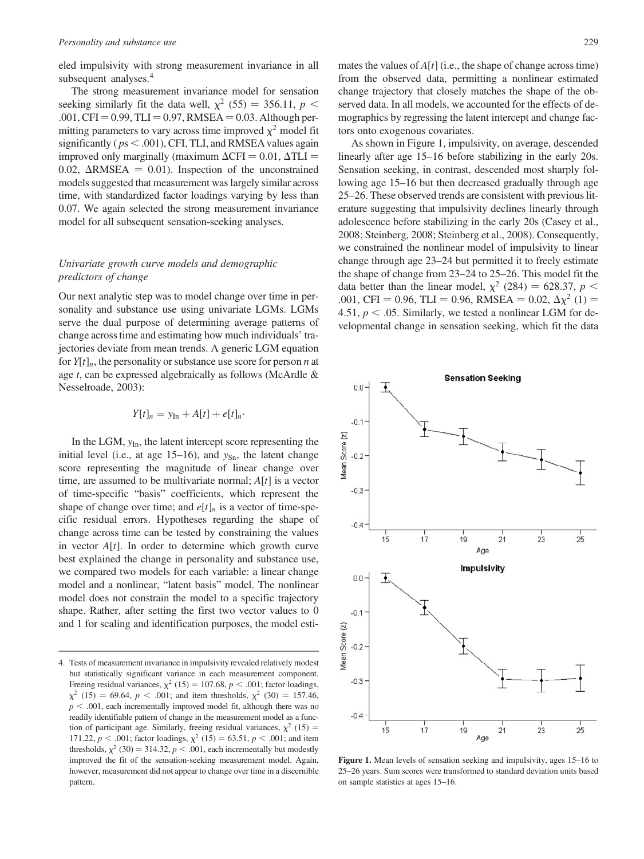eled impulsivity with strong measurement invariance in all subsequent analyses.<sup>4</sup>

The strong measurement invariance model for sensation seeking similarly fit the data well,  $\chi^2$  (55) = 356.11, p <  $.001$ , CFI = 0.99, TLI = 0.97, RMSEA = 0.03. Although permitting parameters to vary across time improved  $\chi^2$  model fit significantly ( $ps < .001$ ), CFI, TLI, and RMSEA values again improved only marginally (maximum  $\Delta$ CFI = 0.01,  $\Delta$ TLI = 0.02,  $\Delta$ RMSEA = 0.01). Inspection of the unconstrained models suggested that measurement was largely similar across time, with standardized factor loadings varying by less than 0.07. We again selected the strong measurement invariance model for all subsequent sensation-seeking analyses.

# Univariate growth curve models and demographic predictors of change

Our next analytic step was to model change over time in personality and substance use using univariate LGMs. LGMs serve the dual purpose of determining average patterns of change across time and estimating how much individuals' trajectories deviate from mean trends. A generic LGM equation for  $Y[t]_n$ , the personality or substance use score for person n at age t, can be expressed algebraically as follows (McArdle & Nesselroade, 2003):

$$
Y[t]_n = y_{\text{In}} + A[t] + e[t]_n
$$

In the LGM,  $y_{In}$ , the latent intercept score representing the initial level (i.e., at age  $15-16$ ), and  $y_{\text{Sn}}$ , the latent change score representing the magnitude of linear change over time, are assumed to be multivariate normal;  $A[t]$  is a vector of time-specific "basis" coefficients, which represent the shape of change over time; and  $e[t]_n$  is a vector of time-specific residual errors. Hypotheses regarding the shape of change across time can be tested by constraining the values in vector  $A[t]$ . In order to determine which growth curve best explained the change in personality and substance use, we compared two models for each variable: a linear change model and a nonlinear, "latent basis" model. The nonlinear model does not constrain the model to a specific trajectory shape. Rather, after setting the first two vector values to 0 and 1 for scaling and identification purposes, the model estimates the values of  $A[t]$  (i.e., the shape of change across time) from the observed data, permitting a nonlinear estimated change trajectory that closely matches the shape of the observed data. In all models, we accounted for the effects of demographics by regressing the latent intercept and change factors onto exogenous covariates.

As shown in Figure 1, impulsivity, on average, descended linearly after age 15–16 before stabilizing in the early 20s. Sensation seeking, in contrast, descended most sharply following age 15–16 but then decreased gradually through age 25–26. These observed trends are consistent with previous literature suggesting that impulsivity declines linearly through adolescence before stabilizing in the early 20s (Casey et al., 2008; Steinberg, 2008; Steinberg et al., 2008). Consequently, we constrained the nonlinear model of impulsivity to linear change through age 23–24 but permitted it to freely estimate the shape of change from 23–24 to 25–26. This model fit the data better than the linear model,  $\chi^2$  (284) = 628.37, p < .001, CFI = 0.96, TLI = 0.96, RMSEA = 0.02,  $\Delta \chi^2$  (1) = 4.51,  $p < .05$ . Similarly, we tested a nonlinear LGM for developmental change in sensation seeking, which fit the data



Figure 1. Mean levels of sensation seeking and impulsivity, ages 15–16 to 25–26 years. Sum scores were transformed to standard deviation units based on sample statistics at ages 15–16.

<sup>4.</sup> Tests of measurement invariance in impulsivity revealed relatively modest but statistically significant variance in each measurement component. Freeing residual variances,  $\chi^2$  (15) = 107.68,  $p < .001$ ; factor loadings,  $\chi^2$  (15) = 69.64, p < .001; and item thresholds,  $\chi^2$  (30) = 157.46,  $p < .001$ , each incrementally improved model fit, although there was no readily identifiable pattern of change in the measurement model as a function of participant age. Similarly, freeing residual variances,  $\chi^2$  (15) = 171.22,  $p < .001$ ; factor loadings,  $\chi^2$  (15) = 63.51,  $p < .001$ ; and item thresholds,  $\chi^2$  (30) = 314.32,  $p < .001$ , each incrementally but modestly improved the fit of the sensation-seeking measurement model. Again, however, measurement did not appear to change over time in a discernible pattern.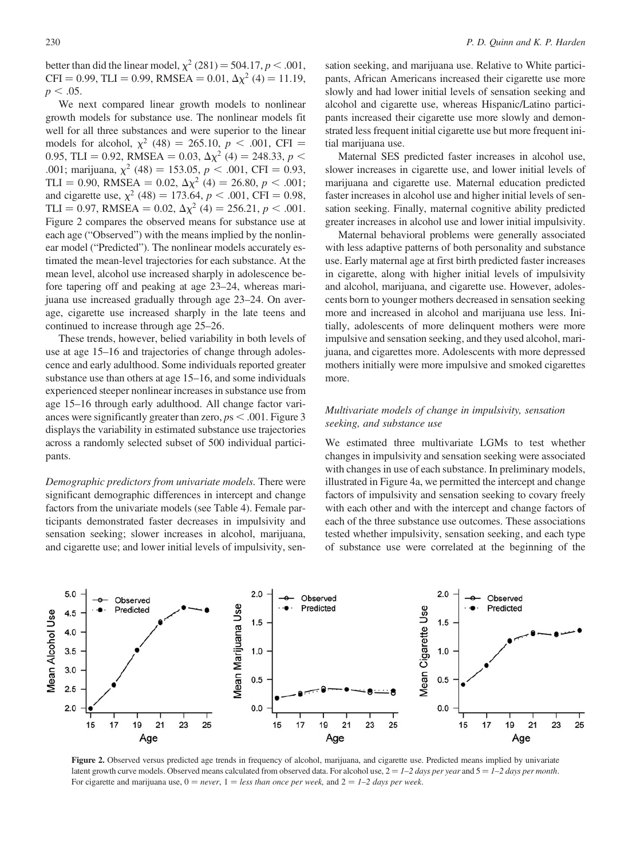better than did the linear model,  $\chi^2$  (281) = 504.17, p < .001,  $CFI = 0.99$ , TLI = 0.99, RMSEA = 0.01,  $\Delta \chi^2$  (4) = 11.19,  $p < .05$ .

We next compared linear growth models to nonlinear growth models for substance use. The nonlinear models fit well for all three substances and were superior to the linear models for alcohol,  $\chi^2$  (48) = 265.10, p < .001, CFI = 0.95, TLI = 0.92, RMSEA = 0.03,  $\Delta \chi^2$  (4) = 248.33, p < .001; marijuana,  $\chi^2$  (48) = 153.05,  $p < .001$ , CFI = 0.93, TLI = 0.90, RMSEA = 0.02,  $\Delta \chi^2$  (4) = 26.80, p < .001; and cigarette use,  $\chi^2$  (48) = 173.64, p < .001, CFI = 0.98, TLI = 0.97, RMSEA = 0.02,  $\Delta \chi^2$  (4) = 256.21, p < .001. Figure 2 compares the observed means for substance use at each age ("Observed") with the means implied by the nonlinear model ("Predicted"). The nonlinear models accurately estimated the mean-level trajectories for each substance. At the mean level, alcohol use increased sharply in adolescence before tapering off and peaking at age 23–24, whereas marijuana use increased gradually through age 23–24. On average, cigarette use increased sharply in the late teens and continued to increase through age 25–26.

These trends, however, belied variability in both levels of use at age 15–16 and trajectories of change through adolescence and early adulthood. Some individuals reported greater substance use than others at age 15–16, and some individuals experienced steeper nonlinear increases in substance use from age 15–16 through early adulthood. All change factor variances were significantly greater than zero,  $ps < .001$ . Figure 3 displays the variability in estimated substance use trajectories across a randomly selected subset of 500 individual participants.

Demographic predictors from univariate models. There were significant demographic differences in intercept and change factors from the univariate models (see Table 4). Female participants demonstrated faster decreases in impulsivity and sensation seeking; slower increases in alcohol, marijuana, and cigarette use; and lower initial levels of impulsivity, sensation seeking, and marijuana use. Relative to White participants, African Americans increased their cigarette use more slowly and had lower initial levels of sensation seeking and alcohol and cigarette use, whereas Hispanic/Latino participants increased their cigarette use more slowly and demonstrated less frequent initial cigarette use but more frequent initial marijuana use.

Maternal SES predicted faster increases in alcohol use, slower increases in cigarette use, and lower initial levels of marijuana and cigarette use. Maternal education predicted faster increases in alcohol use and higher initial levels of sensation seeking. Finally, maternal cognitive ability predicted greater increases in alcohol use and lower initial impulsivity.

Maternal behavioral problems were generally associated with less adaptive patterns of both personality and substance use. Early maternal age at first birth predicted faster increases in cigarette, along with higher initial levels of impulsivity and alcohol, marijuana, and cigarette use. However, adolescents born to younger mothers decreased in sensation seeking more and increased in alcohol and marijuana use less. Initially, adolescents of more delinquent mothers were more impulsive and sensation seeking, and they used alcohol, marijuana, and cigarettes more. Adolescents with more depressed mothers initially were more impulsive and smoked cigarettes more.

# Multivariate models of change in impulsivity, sensation seeking, and substance use

We estimated three multivariate LGMs to test whether changes in impulsivity and sensation seeking were associated with changes in use of each substance. In preliminary models, illustrated in Figure 4a, we permitted the intercept and change factors of impulsivity and sensation seeking to covary freely with each other and with the intercept and change factors of each of the three substance use outcomes. These associations tested whether impulsivity, sensation seeking, and each type of substance use were correlated at the beginning of the



Figure 2. Observed versus predicted age trends in frequency of alcohol, marijuana, and cigarette use. Predicted means implied by univariate latent growth curve models. Observed means calculated from observed data. For alcohol use,  $2 = 1-2$  days per year and  $5 = 1-2$  days per month. For cigarette and marijuana use,  $0 = never$ ,  $1 = less than once per week$ , and  $2 = 1-2 days$  per week.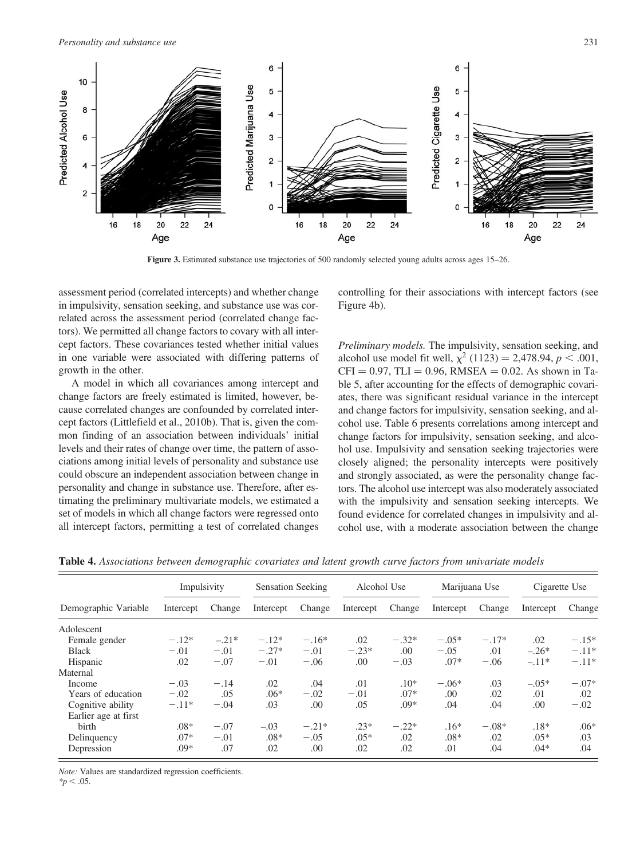

Figure 3. Estimated substance use trajectories of 500 randomly selected young adults across ages 15–26.

assessment period (correlated intercepts) and whether change in impulsivity, sensation seeking, and substance use was correlated across the assessment period (correlated change factors). We permitted all change factors to covary with all intercept factors. These covariances tested whether initial values in one variable were associated with differing patterns of growth in the other.

A model in which all covariances among intercept and change factors are freely estimated is limited, however, because correlated changes are confounded by correlated intercept factors (Littlefield et al., 2010b). That is, given the common finding of an association between individuals' initial levels and their rates of change over time, the pattern of associations among initial levels of personality and substance use could obscure an independent association between change in personality and change in substance use. Therefore, after estimating the preliminary multivariate models, we estimated a set of models in which all change factors were regressed onto all intercept factors, permitting a test of correlated changes

controlling for their associations with intercept factors (see Figure 4b).

Preliminary models. The impulsivity, sensation seeking, and alcohol use model fit well,  $\chi^2$  (1123) = 2,478.94, p < .001,  $CFI = 0.97$ , TLI = 0.96, RMSEA = 0.02. As shown in Table 5, after accounting for the effects of demographic covariates, there was significant residual variance in the intercept and change factors for impulsivity, sensation seeking, and alcohol use. Table 6 presents correlations among intercept and change factors for impulsivity, sensation seeking, and alcohol use. Impulsivity and sensation seeking trajectories were closely aligned; the personality intercepts were positively and strongly associated, as were the personality change factors. The alcohol use intercept was also moderately associated with the impulsivity and sensation seeking intercepts. We found evidence for correlated changes in impulsivity and alcohol use, with a moderate association between the change

|                      | Impulsivity |         | <b>Sensation Seeking</b> |         | Alcohol Use |         | Marijuana Use |         | Cigarette Use |         |
|----------------------|-------------|---------|--------------------------|---------|-------------|---------|---------------|---------|---------------|---------|
| Demographic Variable | Intercept   | Change  | Intercept                | Change  | Intercept   | Change  | Intercept     | Change  | Intercept     | Change  |
| Adolescent           |             |         |                          |         |             |         |               |         |               |         |
| Female gender        | $-.12*$     | $-.21*$ | $-.12*$                  | $-.16*$ | .02         | $-.32*$ | $-.05*$       | $-.17*$ | .02           | $-.15*$ |
| <b>Black</b>         | $-.01$      | $-.01$  | $-.27*$                  | $-.01$  | $-.23*$     | .00     | $-.05$        | .01     | $-.26*$       | $-.11*$ |
| Hispanic             | .02         | $-.07$  | $-.01$                   | $-.06$  | .00         | $-.03$  | $.07*$        | $-.06$  | $-.11*$       | $-.11*$ |
| Maternal             |             |         |                          |         |             |         |               |         |               |         |
| Income               | $-.03$      | $-.14$  | .02                      | .04     | .01         | $.10*$  | $-.06*$       | .03     | $-.05*$       | $-.07*$ |
| Years of education   | $-.02$      | .05     | $.06*$                   | $-.02$  | $-.01$      | $.07*$  | .00           | .02     | .01           | .02     |
| Cognitive ability    | $-.11*$     | $-.04$  | .03                      | .00     | .05         | $.09*$  | .04           | .04     | .00           | $-.02$  |
| Earlier age at first |             |         |                          |         |             |         |               |         |               |         |
| birth                | $.08*$      | $-.07$  | $-.03$                   | $-.21*$ | $.23*$      | $-.22*$ | $.16*$        | $-.08*$ | $.18*$        | $.06*$  |
| Delinquency          | $.07*$      | $-.01$  | $.08*$                   | $-.05$  | $.05*$      | .02     | $.08*$        | .02     | $.05*$        | .03     |
| Depression           | .09*        | .07     | .02                      | .00     | .02         | .02     | .01           | .04     | $.04*$        | .04     |

Table 4. Associations between demographic covariates and latent growth curve factors from univariate models

Note: Values are standardized regression coefficients.

 $*_{p} < .05.$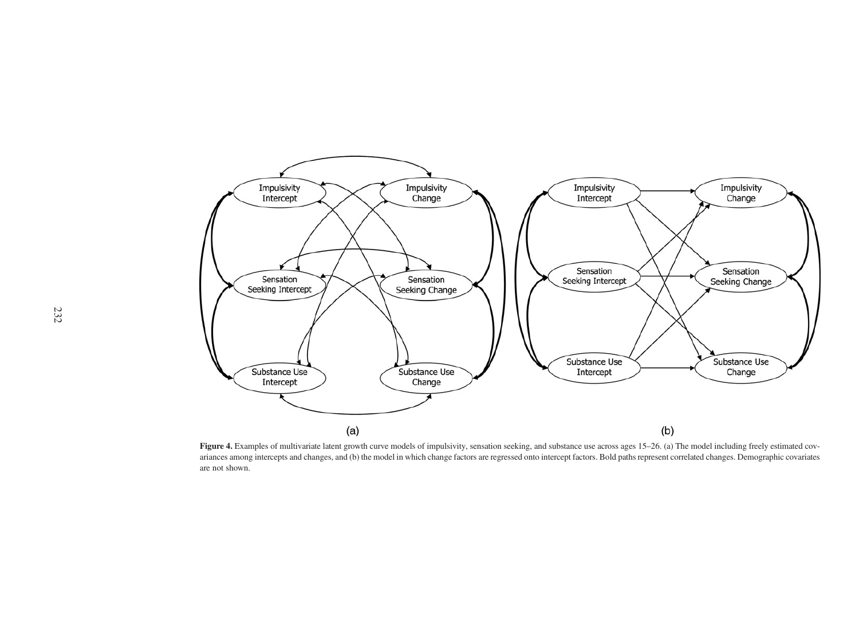

Figure 4. Examples of multivariate latent growth curve models of impulsivity, sensation seeking, and substance use across ages 15-26. (a) The model including freely estimated covariances among intercepts and changes, and (b) the model in which change factors are regressed onto intercept factors. Bold paths represen<sup>t</sup> correlated changes. Demographic covariates are not shown.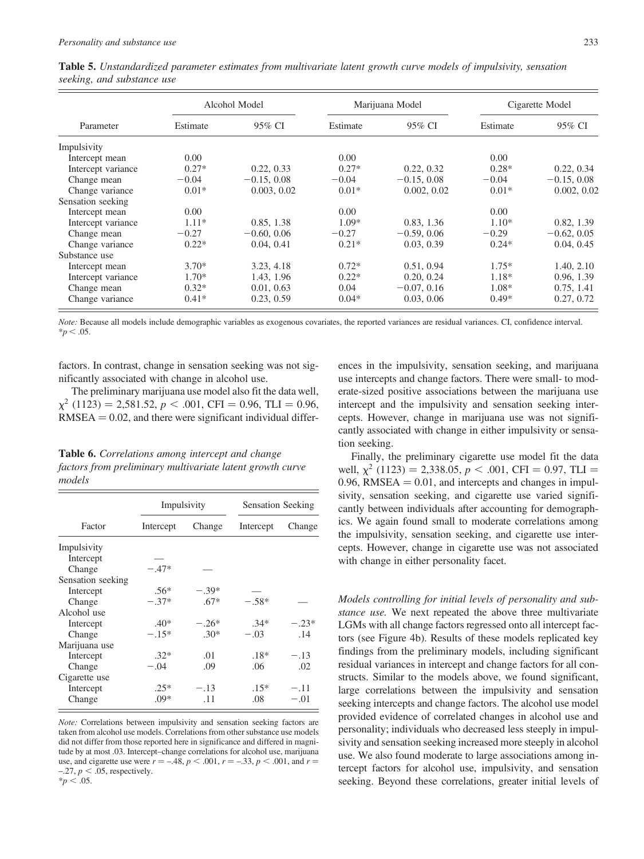|                    |          | Alcohol Model |                | Marijuana Model | Cigarette Model |               |  |
|--------------------|----------|---------------|----------------|-----------------|-----------------|---------------|--|
| Parameter          | Estimate | 95% CI        | Estimate       | 95% CI          | Estimate        | 95% CI        |  |
| Impulsivity        |          |               |                |                 |                 |               |  |
| Intercept mean     | 0.00     |               | 0.00           |                 | 0.00            |               |  |
| Intercept variance | $0.27*$  | 0.22, 0.33    | $0.27*$        | 0.22, 0.32      | $0.28*$         | 0.22, 0.34    |  |
| Change mean        | $-0.04$  | $-0.15, 0.08$ | $-0.04$        | $-0.15, 0.08$   | $-0.04$         | $-0.15, 0.08$ |  |
| Change variance    | $0.01*$  | 0.003, 0.02   | $0.01*$        | 0.002, 0.02     | $0.01*$         | 0.002, 0.02   |  |
| Sensation seeking  |          |               |                |                 |                 |               |  |
| Intercept mean     | 0.00     |               | $0.00^{\circ}$ |                 | 0.00            |               |  |
| Intercept variance | $1.11*$  | 0.85, 1.38    | $1.09*$        | 0.83, 1.36      | $1.10*$         | 0.82, 1.39    |  |
| Change mean        | $-0.27$  | $-0.60, 0.06$ | $-0.27$        | $-0.59, 0.06$   | $-0.29$         | $-0.62, 0.05$ |  |
| Change variance    | $0.22*$  | 0.04, 0.41    | $0.21*$        | 0.03, 0.39      | $0.24*$         | 0.04, 0.45    |  |
| Substance use      |          |               |                |                 |                 |               |  |
| Intercept mean     | $3.70*$  | 3.23, 4.18    | $0.72*$        | 0.51, 0.94      | $1.75*$         | 1.40, 2.10    |  |
| Intercept variance | $1.70*$  | 1.43, 1.96    | $0.22*$        | 0.20, 0.24      | $1.18*$         | 0.96, 1.39    |  |
| Change mean        | $0.32*$  | 0.01, 0.63    | 0.04           | $-0.07, 0.16$   | $1.08*$         | 0.75, 1.41    |  |
| Change variance    | $0.41*$  | 0.23, 0.59    | $0.04*$        | 0.03, 0.06      | $0.49*$         | 0.27, 0.72    |  |

Table 5. Unstandardized parameter estimates from multivariate latent growth curve models of impulsivity, sensation seeking, and substance use

Note: Because all models include demographic variables as exogenous covariates, the reported variances are residual variances. CI, confidence interval.  $*_{p} < .05$ .

factors. In contrast, change in sensation seeking was not significantly associated with change in alcohol use.

The preliminary marijuana use model also fit the data well,  $\chi^2$  (1123) = 2,581.52, p < .001, CFI = 0.96, TLI = 0.96,  $RMSEA = 0.02$ , and there were significant individual differ-

Table 6. Correlations among intercept and change factors from preliminary multivariate latent growth curve models

|                   | Impulsivity |         | <b>Sensation Seeking</b> |         |  |  |
|-------------------|-------------|---------|--------------------------|---------|--|--|
| Factor            | Intercept   | Change  | Intercept                | Change  |  |  |
| Impulsivity       |             |         |                          |         |  |  |
| Intercept         |             |         |                          |         |  |  |
| Change            | $-.47*$     |         |                          |         |  |  |
| Sensation seeking |             |         |                          |         |  |  |
| Intercept         | $.56*$      | $-.39*$ |                          |         |  |  |
| Change            | $-.37*$     | $.67*$  | $-.58*$                  |         |  |  |
| Alcohol use       |             |         |                          |         |  |  |
| Intercept         | $.40*$      | $-.26*$ | $.34*$                   | $-.23*$ |  |  |
| Change            | $-.15*$     | $.30*$  | $-.03$                   | .14     |  |  |
| Marijuana use     |             |         |                          |         |  |  |
| Intercept         | $.32*$      | .01     | $.18*$                   | $-.13$  |  |  |
| Change            | $-.04$      | .09     | .06                      | .02     |  |  |
| Cigarette use     |             |         |                          |         |  |  |
| Intercept         | $.25*$      | $-.13$  | $.15*$                   | $-.11$  |  |  |
| Change            | .09*        | .11     | .08                      | $-.01$  |  |  |

Note: Correlations between impulsivity and sensation seeking factors are taken from alcohol use models. Correlations from other substance use models did not differ from those reported here in significance and differed in magnitude by at most .03. Intercept–change correlations for alcohol use, marijuana use, and cigarette use were  $r = -.48$ ,  $p < .001$ ,  $r = -.33$ ,  $p < .001$ , and  $r =$  $-.27, p < .05$ , respectively.  $*_{p} < .05.$ 

ences in the impulsivity, sensation seeking, and marijuana use intercepts and change factors. There were small- to moderate-sized positive associations between the marijuana use intercept and the impulsivity and sensation seeking intercepts. However, change in marijuana use was not significantly associated with change in either impulsivity or sensation seeking.

Finally, the preliminary cigarette use model fit the data well,  $\chi^2$  (1123) = 2,338.05, p < .001, CFI = 0.97, TLI =  $0.96$ , RMSEA  $= 0.01$ , and intercepts and changes in impulsivity, sensation seeking, and cigarette use varied significantly between individuals after accounting for demographics. We again found small to moderate correlations among the impulsivity, sensation seeking, and cigarette use intercepts. However, change in cigarette use was not associated with change in either personality facet.

Models controlling for initial levels of personality and substance use. We next repeated the above three multivariate LGMs with all change factors regressed onto all intercept factors (see Figure 4b). Results of these models replicated key findings from the preliminary models, including significant residual variances in intercept and change factors for all constructs. Similar to the models above, we found significant, large correlations between the impulsivity and sensation seeking intercepts and change factors. The alcohol use model provided evidence of correlated changes in alcohol use and personality; individuals who decreased less steeply in impulsivity and sensation seeking increased more steeply in alcohol use. We also found moderate to large associations among intercept factors for alcohol use, impulsivity, and sensation seeking. Beyond these correlations, greater initial levels of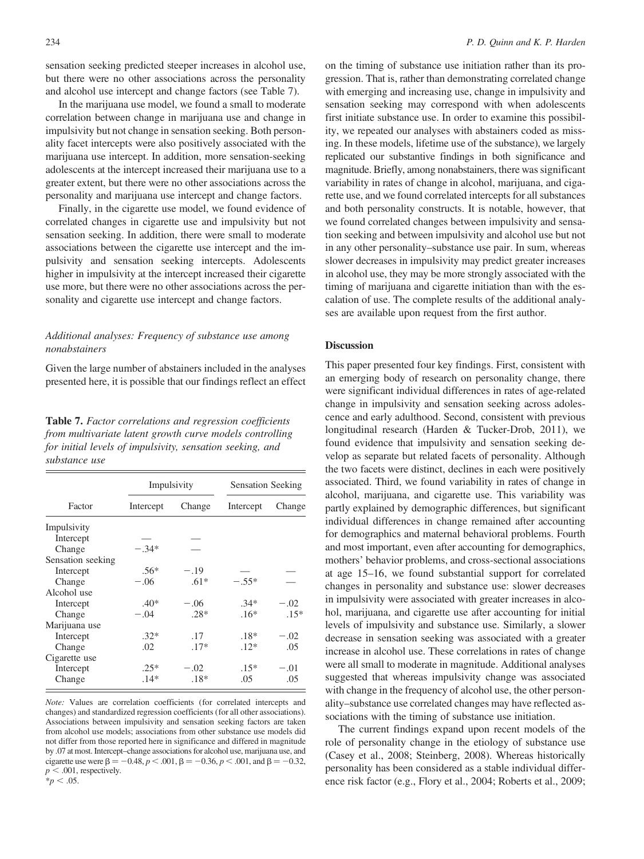sensation seeking predicted steeper increases in alcohol use, but there were no other associations across the personality and alcohol use intercept and change factors (see Table 7).

In the marijuana use model, we found a small to moderate correlation between change in marijuana use and change in impulsivity but not change in sensation seeking. Both personality facet intercepts were also positively associated with the marijuana use intercept. In addition, more sensation-seeking adolescents at the intercept increased their marijuana use to a greater extent, but there were no other associations across the personality and marijuana use intercept and change factors.

Finally, in the cigarette use model, we found evidence of correlated changes in cigarette use and impulsivity but not sensation seeking. In addition, there were small to moderate associations between the cigarette use intercept and the impulsivity and sensation seeking intercepts. Adolescents higher in impulsivity at the intercept increased their cigarette use more, but there were no other associations across the personality and cigarette use intercept and change factors.

# Additional analyses: Frequency of substance use among nonabstainers

Given the large number of abstainers included in the analyses presented here, it is possible that our findings reflect an effect

Table 7. Factor correlations and regression coefficients from multivariate latent growth curve models controlling for initial levels of impulsivity, sensation seeking, and substance use

|                   | Impulsivity |        | <b>Sensation Seeking</b> |        |  |  |
|-------------------|-------------|--------|--------------------------|--------|--|--|
| Factor            | Intercept   | Change | Intercept                | Change |  |  |
| Impulsivity       |             |        |                          |        |  |  |
| Intercept         |             |        |                          |        |  |  |
| Change            | $-.34*$     |        |                          |        |  |  |
| Sensation seeking |             |        |                          |        |  |  |
| Intercept         | $.56*$      | $-.19$ |                          |        |  |  |
| Change            | $-.06$      | $.61*$ | $-.55*$                  |        |  |  |
| Alcohol use       |             |        |                          |        |  |  |
| Intercept         | $.40*$      | $-.06$ | $.34*$                   | $-.02$ |  |  |
| Change            | $-.04$      | $.28*$ | $.16*$                   | $.15*$ |  |  |
| Marijuana use     |             |        |                          |        |  |  |
| Intercept         | $.32*$      | .17    | $.18*$                   | $-.02$ |  |  |
| Change            | .02         | $.17*$ | $.12*$                   | .05    |  |  |
| Cigarette use     |             |        |                          |        |  |  |
| Intercept         | $.25*$      | $-.02$ | $.15*$                   | $-.01$ |  |  |
| Change            | $.14*$      | $.18*$ | .05                      | .05    |  |  |

Note: Values are correlation coefficients (for correlated intercepts and changes) and standardized regression coefficients (for all other associations). Associations between impulsivity and sensation seeking factors are taken from alcohol use models; associations from other substance use models did not differ from those reported here in significance and differed in magnitude by .07 at most. Intercept–change associations for alcohol use, marijuana use, and cigarette use were  $\beta = -0.48$ ,  $p < .001$ ,  $\beta = -0.36$ ,  $p < .001$ , and  $\beta = -0.32$ ,  $p < .001$ , respectively.  $*_{p} < .05.$ 

on the timing of substance use initiation rather than its progression. That is, rather than demonstrating correlated change with emerging and increasing use, change in impulsivity and sensation seeking may correspond with when adolescents first initiate substance use. In order to examine this possibility, we repeated our analyses with abstainers coded as missing. In these models, lifetime use of the substance), we largely replicated our substantive findings in both significance and magnitude. Briefly, among nonabstainers, there was significant variability in rates of change in alcohol, marijuana, and cigarette use, and we found correlated intercepts for all substances and both personality constructs. It is notable, however, that we found correlated changes between impulsivity and sensation seeking and between impulsivity and alcohol use but not in any other personality–substance use pair. In sum, whereas slower decreases in impulsivity may predict greater increases in alcohol use, they may be more strongly associated with the timing of marijuana and cigarette initiation than with the escalation of use. The complete results of the additional analyses are available upon request from the first author.

#### **Discussion**

This paper presented four key findings. First, consistent with an emerging body of research on personality change, there were significant individual differences in rates of age-related change in impulsivity and sensation seeking across adolescence and early adulthood. Second, consistent with previous longitudinal research (Harden & Tucker-Drob, 2011), we found evidence that impulsivity and sensation seeking develop as separate but related facets of personality. Although the two facets were distinct, declines in each were positively associated. Third, we found variability in rates of change in alcohol, marijuana, and cigarette use. This variability was partly explained by demographic differences, but significant individual differences in change remained after accounting for demographics and maternal behavioral problems. Fourth and most important, even after accounting for demographics, mothers' behavior problems, and cross-sectional associations at age 15–16, we found substantial support for correlated changes in personality and substance use: slower decreases in impulsivity were associated with greater increases in alcohol, marijuana, and cigarette use after accounting for initial levels of impulsivity and substance use. Similarly, a slower decrease in sensation seeking was associated with a greater increase in alcohol use. These correlations in rates of change were all small to moderate in magnitude. Additional analyses suggested that whereas impulsivity change was associated with change in the frequency of alcohol use, the other personality–substance use correlated changes may have reflected associations with the timing of substance use initiation.

The current findings expand upon recent models of the role of personality change in the etiology of substance use (Casey et al., 2008; Steinberg, 2008). Whereas historically personality has been considered as a stable individual difference risk factor (e.g., Flory et al., 2004; Roberts et al., 2009;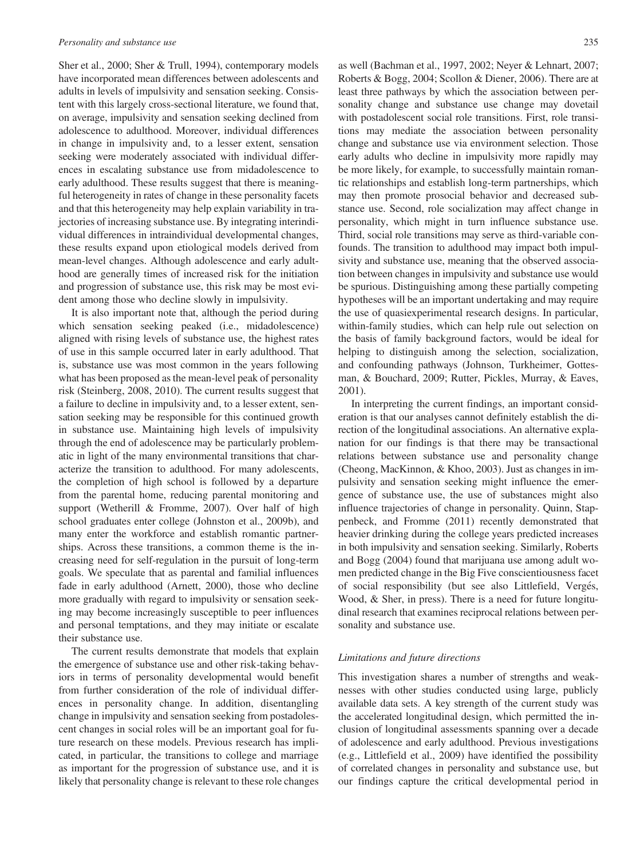Sher et al., 2000; Sher & Trull, 1994), contemporary models have incorporated mean differences between adolescents and adults in levels of impulsivity and sensation seeking. Consistent with this largely cross-sectional literature, we found that, on average, impulsivity and sensation seeking declined from adolescence to adulthood. Moreover, individual differences in change in impulsivity and, to a lesser extent, sensation seeking were moderately associated with individual differences in escalating substance use from midadolescence to early adulthood. These results suggest that there is meaningful heterogeneity in rates of change in these personality facets and that this heterogeneity may help explain variability in trajectories of increasing substance use. By integrating interindividual differences in intraindividual developmental changes, these results expand upon etiological models derived from mean-level changes. Although adolescence and early adulthood are generally times of increased risk for the initiation and progression of substance use, this risk may be most evident among those who decline slowly in impulsivity.

It is also important note that, although the period during which sensation seeking peaked (i.e., midadolescence) aligned with rising levels of substance use, the highest rates of use in this sample occurred later in early adulthood. That is, substance use was most common in the years following what has been proposed as the mean-level peak of personality risk (Steinberg, 2008, 2010). The current results suggest that a failure to decline in impulsivity and, to a lesser extent, sensation seeking may be responsible for this continued growth in substance use. Maintaining high levels of impulsivity through the end of adolescence may be particularly problematic in light of the many environmental transitions that characterize the transition to adulthood. For many adolescents, the completion of high school is followed by a departure from the parental home, reducing parental monitoring and support (Wetherill & Fromme, 2007). Over half of high school graduates enter college (Johnston et al., 2009b), and many enter the workforce and establish romantic partnerships. Across these transitions, a common theme is the increasing need for self-regulation in the pursuit of long-term goals. We speculate that as parental and familial influences fade in early adulthood (Arnett, 2000), those who decline more gradually with regard to impulsivity or sensation seeking may become increasingly susceptible to peer influences and personal temptations, and they may initiate or escalate their substance use.

The current results demonstrate that models that explain the emergence of substance use and other risk-taking behaviors in terms of personality developmental would benefit from further consideration of the role of individual differences in personality change. In addition, disentangling change in impulsivity and sensation seeking from postadolescent changes in social roles will be an important goal for future research on these models. Previous research has implicated, in particular, the transitions to college and marriage as important for the progression of substance use, and it is likely that personality change is relevant to these role changes

as well (Bachman et al., 1997, 2002; Neyer & Lehnart, 2007; Roberts & Bogg, 2004; Scollon & Diener, 2006). There are at least three pathways by which the association between personality change and substance use change may dovetail with postadolescent social role transitions. First, role transitions may mediate the association between personality change and substance use via environment selection. Those early adults who decline in impulsivity more rapidly may be more likely, for example, to successfully maintain romantic relationships and establish long-term partnerships, which may then promote prosocial behavior and decreased substance use. Second, role socialization may affect change in personality, which might in turn influence substance use. Third, social role transitions may serve as third-variable confounds. The transition to adulthood may impact both impulsivity and substance use, meaning that the observed association between changes in impulsivity and substance use would be spurious. Distinguishing among these partially competing hypotheses will be an important undertaking and may require the use of quasiexperimental research designs. In particular, within-family studies, which can help rule out selection on the basis of family background factors, would be ideal for helping to distinguish among the selection, socialization, and confounding pathways (Johnson, Turkheimer, Gottesman, & Bouchard, 2009; Rutter, Pickles, Murray, & Eaves, 2001).

In interpreting the current findings, an important consideration is that our analyses cannot definitely establish the direction of the longitudinal associations. An alternative explanation for our findings is that there may be transactional relations between substance use and personality change (Cheong, MacKinnon, & Khoo, 2003). Just as changes in impulsivity and sensation seeking might influence the emergence of substance use, the use of substances might also influence trajectories of change in personality. Quinn, Stappenbeck, and Fromme (2011) recently demonstrated that heavier drinking during the college years predicted increases in both impulsivity and sensation seeking. Similarly, Roberts and Bogg (2004) found that marijuana use among adult women predicted change in the Big Five conscientiousness facet of social responsibility (but see also Littlefield, Vergés, Wood, & Sher, in press). There is a need for future longitudinal research that examines reciprocal relations between personality and substance use.

#### Limitations and future directions

This investigation shares a number of strengths and weaknesses with other studies conducted using large, publicly available data sets. A key strength of the current study was the accelerated longitudinal design, which permitted the inclusion of longitudinal assessments spanning over a decade of adolescence and early adulthood. Previous investigations (e.g., Littlefield et al., 2009) have identified the possibility of correlated changes in personality and substance use, but our findings capture the critical developmental period in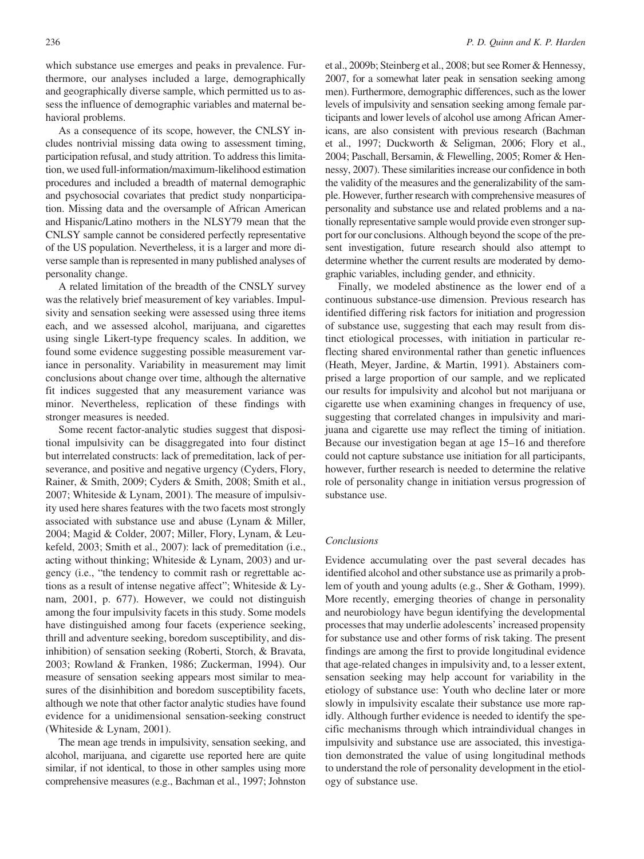which substance use emerges and peaks in prevalence. Furthermore, our analyses included a large, demographically and geographically diverse sample, which permitted us to assess the influence of demographic variables and maternal behavioral problems.

As a consequence of its scope, however, the CNLSY includes nontrivial missing data owing to assessment timing, participation refusal, and study attrition. To address this limitation, we used full-information/maximum-likelihood estimation procedures and included a breadth of maternal demographic and psychosocial covariates that predict study nonparticipation. Missing data and the oversample of African American and Hispanic/Latino mothers in the NLSY79 mean that the CNLSY sample cannot be considered perfectly representative of the US population. Nevertheless, it is a larger and more diverse sample than is represented in many published analyses of personality change.

A related limitation of the breadth of the CNSLY survey was the relatively brief measurement of key variables. Impulsivity and sensation seeking were assessed using three items each, and we assessed alcohol, marijuana, and cigarettes using single Likert-type frequency scales. In addition, we found some evidence suggesting possible measurement variance in personality. Variability in measurement may limit conclusions about change over time, although the alternative fit indices suggested that any measurement variance was minor. Nevertheless, replication of these findings with stronger measures is needed.

Some recent factor-analytic studies suggest that dispositional impulsivity can be disaggregated into four distinct but interrelated constructs: lack of premeditation, lack of perseverance, and positive and negative urgency (Cyders, Flory, Rainer, & Smith, 2009; Cyders & Smith, 2008; Smith et al., 2007; Whiteside & Lynam, 2001). The measure of impulsivity used here shares features with the two facets most strongly associated with substance use and abuse (Lynam & Miller, 2004; Magid & Colder, 2007; Miller, Flory, Lynam, & Leukefeld, 2003; Smith et al., 2007): lack of premeditation (i.e., acting without thinking; Whiteside & Lynam, 2003) and urgency (i.e., "the tendency to commit rash or regrettable actions as a result of intense negative affect"; Whiteside & Lynam, 2001, p. 677). However, we could not distinguish among the four impulsivity facets in this study. Some models have distinguished among four facets (experience seeking, thrill and adventure seeking, boredom susceptibility, and disinhibition) of sensation seeking (Roberti, Storch, & Bravata, 2003; Rowland & Franken, 1986; Zuckerman, 1994). Our measure of sensation seeking appears most similar to measures of the disinhibition and boredom susceptibility facets, although we note that other factor analytic studies have found evidence for a unidimensional sensation-seeking construct (Whiteside & Lynam, 2001).

The mean age trends in impulsivity, sensation seeking, and alcohol, marijuana, and cigarette use reported here are quite similar, if not identical, to those in other samples using more comprehensive measures (e.g., Bachman et al., 1997; Johnston

et al., 2009b; Steinberg et al., 2008; but see Romer & Hennessy, 2007, for a somewhat later peak in sensation seeking among men). Furthermore, demographic differences, such as the lower levels of impulsivity and sensation seeking among female participants and lower levels of alcohol use among African Americans, are also consistent with previous research (Bachman et al., 1997; Duckworth & Seligman, 2006; Flory et al., 2004; Paschall, Bersamin, & Flewelling, 2005; Romer & Hennessy, 2007). These similarities increase our confidence in both the validity of the measures and the generalizability of the sample. However, further research with comprehensive measures of personality and substance use and related problems and a nationally representative sample would provide even stronger support for our conclusions. Although beyond the scope of the present investigation, future research should also attempt to determine whether the current results are moderated by demographic variables, including gender, and ethnicity.

Finally, we modeled abstinence as the lower end of a continuous substance-use dimension. Previous research has identified differing risk factors for initiation and progression of substance use, suggesting that each may result from distinct etiological processes, with initiation in particular reflecting shared environmental rather than genetic influences (Heath, Meyer, Jardine, & Martin, 1991). Abstainers comprised a large proportion of our sample, and we replicated our results for impulsivity and alcohol but not marijuana or cigarette use when examining changes in frequency of use, suggesting that correlated changes in impulsivity and marijuana and cigarette use may reflect the timing of initiation. Because our investigation began at age 15–16 and therefore could not capture substance use initiation for all participants, however, further research is needed to determine the relative role of personality change in initiation versus progression of substance use.

### Conclusions

Evidence accumulating over the past several decades has identified alcohol and other substance use as primarily a problem of youth and young adults (e.g., Sher & Gotham, 1999). More recently, emerging theories of change in personality and neurobiology have begun identifying the developmental processes that may underlie adolescents' increased propensity for substance use and other forms of risk taking. The present findings are among the first to provide longitudinal evidence that age-related changes in impulsivity and, to a lesser extent, sensation seeking may help account for variability in the etiology of substance use: Youth who decline later or more slowly in impulsivity escalate their substance use more rapidly. Although further evidence is needed to identify the specific mechanisms through which intraindividual changes in impulsivity and substance use are associated, this investigation demonstrated the value of using longitudinal methods to understand the role of personality development in the etiology of substance use.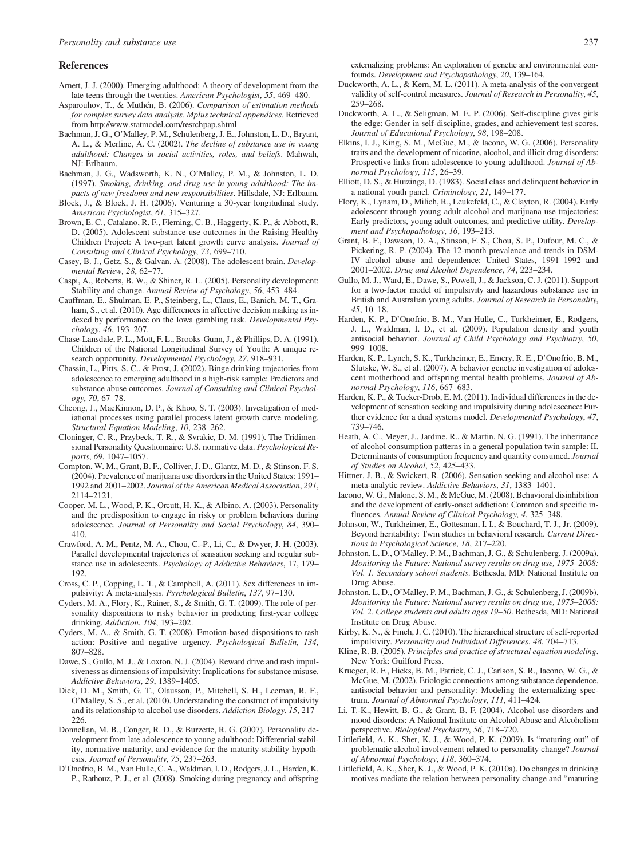#### References

- Arnett, J. J. (2000). Emerging adulthood: A theory of development from the late teens through the twenties. American Psychologist, 55, 469–480.
- Asparouhov, T., & Muthén, B. (2006). Comparison of estimation methods for complex survey data analysis. Mplus technical appendices. Retrieved from http://www.statmodel.com/resrchpap.shtml
- Bachman, J. G., O'Malley, P. M., Schulenberg, J. E., Johnston, L. D., Bryant, A. L., & Merline, A. C. (2002). The decline of substance use in young adulthood: Changes in social activities, roles, and beliefs. Mahwah, NJ: Erlbaum.
- Bachman, J. G., Wadsworth, K. N., O'Malley, P. M., & Johnston, L. D. (1997). Smoking, drinking, and drug use in young adulthood: The impacts of new freedoms and new responsibilities. Hillsdale, NJ: Erlbaum.
- Block, J., & Block, J. H. (2006). Venturing a 30-year longitudinal study. American Psychologist, 61, 315–327.
- Brown, E. C., Catalano, R. F., Fleming, C. B., Haggerty, K. P., & Abbott, R. D. (2005). Adolescent substance use outcomes in the Raising Healthy Children Project: A two-part latent growth curve analysis. Journal of Consulting and Clinical Psychology, 73, 699–710.
- Casey, B. J., Getz, S., & Galvan, A. (2008). The adolescent brain. Developmental Review, 28, 62–77.
- Caspi, A., Roberts, B. W., & Shiner, R. L. (2005). Personality development: Stability and change. Annual Review of Psychology, 56, 453–484.
- Cauffman, E., Shulman, E. P., Steinberg, L., Claus, E., Banich, M. T., Graham, S., et al. (2010). Age differences in affective decision making as indexed by performance on the Iowa gambling task. Developmental Psychology, 46, 193–207.
- Chase-Lansdale, P. L., Mott, F. L., Brooks-Gunn, J., & Phillips, D. A. (1991). Children of the National Longitudinal Survey of Youth: A unique research opportunity. Developmental Psychology, 27, 918-931.
- Chassin, L., Pitts, S. C., & Prost, J. (2002). Binge drinking trajectories from adolescence to emerging adulthood in a high-risk sample: Predictors and substance abuse outcomes. Journal of Consulting and Clinical Psychology, 70, 67–78.
- Cheong, J., MacKinnon, D. P., & Khoo, S. T. (2003). Investigation of mediational processes using parallel process latent growth curve modeling. Structural Equation Modeling, 10, 238–262.
- Cloninger, C. R., Przybeck, T. R., & Svrakic, D. M. (1991). The Tridimensional Personality Questionnaire: U.S. normative data. Psychological Reports, 69, 1047–1057.
- Compton, W. M., Grant, B. F., Colliver, J. D., Glantz, M. D., & Stinson, F. S. (2004). Prevalence of marijuana use disorders in the United States: 1991– 1992 and 2001–2002. Journal of the American Medical Association, 291, 2114–2121.
- Cooper, M. L., Wood, P. K., Orcutt, H. K., & Albino, A. (2003). Personality and the predisposition to engage in risky or problem behaviors during adolescence. Journal of Personality and Social Psychology, 84, 390– 410.
- Crawford, A. M., Pentz, M. A., Chou, C.-P., Li, C., & Dwyer, J. H. (2003). Parallel developmental trajectories of sensation seeking and regular substance use in adolescents. Psychology of Addictive Behaviors, 17, 179– 192.
- Cross, C. P., Copping, L. T., & Campbell, A. (2011). Sex differences in impulsivity: A meta-analysis. Psychological Bulletin, 137, 97–130.
- Cyders, M. A., Flory, K., Rainer, S., & Smith, G. T. (2009). The role of personality dispositions to risky behavior in predicting first-year college drinking. Addiction, 104, 193–202.
- Cyders, M. A., & Smith, G. T. (2008). Emotion-based dispositions to rash action: Positive and negative urgency. Psychological Bulletin, 134, 807–828.
- Dawe, S., Gullo, M. J., & Loxton, N. J. (2004). Reward drive and rash impulsiveness as dimensions of impulsivity: Implications for substance misuse. Addictive Behaviors, 29, 1389–1405.
- Dick, D. M., Smith, G. T., Olausson, P., Mitchell, S. H., Leeman, R. F., O'Malley, S. S., et al. (2010). Understanding the construct of impulsivity and its relationship to alcohol use disorders. Addiction Biology, 15, 217– 226.
- Donnellan, M. B., Conger, R. D., & Burzette, R. G. (2007). Personality development from late adolescence to young adulthood: Differential stability, normative maturity, and evidence for the maturity-stability hypothesis. Journal of Personality, 75, 237–263.
- D'Onofrio, B. M., Van Hulle, C. A., Waldman, I. D., Rodgers, J. L., Harden, K. P., Rathouz, P. J., et al. (2008). Smoking during pregnancy and offspring

externalizing problems: An exploration of genetic and environmental confounds. Development and Psychopathology, 20, 139–164.

- Duckworth, A. L., & Kern, M. L. (2011). A meta-analysis of the convergent validity of self-control measures. Journal of Research in Personality, 45, 259–268.
- Duckworth, A. L., & Seligman, M. E. P. (2006). Self-discipline gives girls the edge: Gender in self-discipline, grades, and achievement test scores. Journal of Educational Psychology, 98, 198–208.
- Elkins, I. J., King, S. M., McGue, M., & Iacono, W. G. (2006). Personality traits and the development of nicotine, alcohol, and illicit drug disorders: Prospective links from adolescence to young adulthood. Journal of Abnormal Psychology, 115, 26–39.
- Elliott, D. S., & Huizinga, D. (1983). Social class and delinquent behavior in a national youth panel. Criminology, 21, 149–177.
- Flory, K., Lynam, D., Milich, R., Leukefeld, C., & Clayton, R. (2004). Early adolescent through young adult alcohol and marijuana use trajectories: Early predictors, young adult outcomes, and predictive utility. Development and Psychopathology, 16, 193–213.
- Grant, B. F., Dawson, D. A., Stinson, F. S., Chou, S. P., Dufour, M. C., & Pickering, R. P. (2004). The 12-month prevalence and trends in DSM-IV alcohol abuse and dependence: United States, 1991–1992 and 2001–2002. Drug and Alcohol Dependence, 74, 223–234.
- Gullo, M. J., Ward, E., Dawe, S., Powell, J., & Jackson, C. J. (2011). Support for a two-factor model of impulsivity and hazardous substance use in British and Australian young adults. Journal of Research in Personality, 45, 10–18.
- Harden, K. P., D'Onofrio, B. M., Van Hulle, C., Turkheimer, E., Rodgers, J. L., Waldman, I. D., et al. (2009). Population density and youth antisocial behavior. Journal of Child Psychology and Psychiatry, 50, 999–1008.
- Harden, K. P., Lynch, S. K., Turkheimer, E., Emery, R. E., D'Onofrio, B. M., Slutske, W. S., et al. (2007). A behavior genetic investigation of adolescent motherhood and offspring mental health problems. Journal of Abnormal Psychology, 116, 667–683.
- Harden, K. P., & Tucker-Drob, E. M. (2011). Individual differences in the development of sensation seeking and impulsivity during adolescence: Further evidence for a dual systems model. Developmental Psychology, 47, 739–746.
- Heath, A. C., Meyer, J., Jardine, R., & Martin, N. G. (1991). The inheritance of alcohol consumption patterns in a general population twin sample: II. Determinants of consumption frequency and quantity consumed. Journal of Studies on Alcohol, 52, 425–433.
- Hittner, J. B., & Swickert, R. (2006). Sensation seeking and alcohol use: A meta-analytic review. Addictive Behaviors, 31, 1383–1401.
- Iacono, W. G., Malone, S. M., & McGue, M. (2008). Behavioral disinhibition and the development of early-onset addiction: Common and specific influences. Annual Review of Clinical Psychology, 4, 325–348.
- Johnson, W., Turkheimer, E., Gottesman, I. I., & Bouchard, T. J., Jr. (2009). Beyond heritability: Twin studies in behavioral research. Current Directions in Psychological Science, 18, 217–220.
- Johnston, L. D., O'Malley, P. M., Bachman, J. G., & Schulenberg, J. (2009a). Monitoring the Future: National survey results on drug use, 1975–2008: Vol. 1. Secondary school students. Bethesda, MD: National Institute on Drug Abuse.
- Johnston, L. D., O'Malley, P. M., Bachman, J. G., & Schulenberg, J. (2009b). Monitoring the Future: National survey results on drug use, 1975–2008: Vol. 2. College students and adults ages 19–50. Bethesda, MD: National Institute on Drug Abuse.
- Kirby, K. N., & Finch, J. C. (2010). The hierarchical structure of self-reported impulsivity. Personality and Individual Differences, 48, 704–713.
- Kline, R. B. (2005). Principles and practice of structural equation modeling. New York: Guilford Press.
- Krueger, R. F., Hicks, B. M., Patrick, C. J., Carlson, S. R., Iacono, W. G., & McGue, M. (2002). Etiologic connections among substance dependence, antisocial behavior and personality: Modeling the externalizing spectrum. Journal of Abnormal Psychology, 111, 411–424.
- Li, T.-K., Hewitt, B. G., & Grant, B. F. (2004). Alcohol use disorders and mood disorders: A National Institute on Alcohol Abuse and Alcoholism perspective. Biological Psychiatry, 56, 718–720.
- Littlefield, A. K., Sher, K. J., & Wood, P. K. (2009). Is "maturing out" of problematic alcohol involvement related to personality change? Journal of Abnormal Psychology, 118, 360–374.
- Littlefield, A. K., Sher, K. J., & Wood, P. K. (2010a). Do changes in drinking motives mediate the relation between personality change and "maturing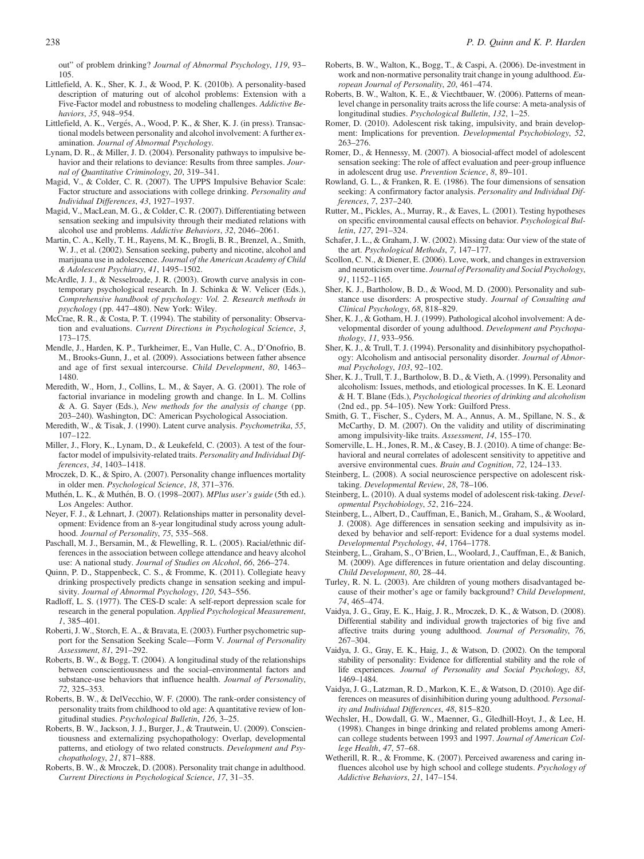out" of problem drinking? Journal of Abnormal Psychology, 119, 93-105.

- Littlefield, A. K., Sher, K. J., & Wood, P. K. (2010b). A personality-based description of maturing out of alcohol problems: Extension with a Five-Factor model and robustness to modeling challenges. Addictive Behaviors, 35, 948–954.
- Littlefield, A. K., Vergés, A., Wood, P. K., & Sher, K. J. (in press). Transactional models between personality and alcohol involvement: A further examination. Journal of Abnormal Psychology.
- Lynam, D. R., & Miller, J. D. (2004). Personality pathways to impulsive behavior and their relations to deviance: Results from three samples. Journal of Quantitative Criminology, 20, 319–341.
- Magid, V., & Colder, C. R. (2007). The UPPS Impulsive Behavior Scale: Factor structure and associations with college drinking. Personality and Individual Differences, 43, 1927–1937.
- Magid, V., MacLean, M. G., & Colder, C. R. (2007). Differentiating between sensation seeking and impulsivity through their mediated relations with alcohol use and problems. Addictive Behaviors, 32, 2046–2061.
- Martin, C. A., Kelly, T. H., Rayens, M. K., Brogli, B. R., Brenzel, A., Smith, W. J., et al. (2002). Sensation seeking, puberty and nicotine, alcohol and marijuana use in adolescence. Journal of the American Academy of Child & Adolescent Psychiatry, 41, 1495–1502.
- McArdle, J. J., & Nesselroade, J. R. (2003). Growth curve analysis in contemporary psychological research. In J. Schinka & W. Velicer (Eds.), Comprehensive handbook of psychology: Vol. 2. Research methods in psychology (pp. 447–480). New York: Wiley.
- McCrae, R. R., & Costa, P. T. (1994). The stability of personality: Observation and evaluations. Current Directions in Psychological Science, 3, 173–175.
- Mendle, J., Harden, K. P., Turkheimer, E., Van Hulle, C. A., D'Onofrio, B. M., Brooks-Gunn, J., et al. (2009). Associations between father absence and age of first sexual intercourse. Child Development, 80, 1463– 1480.
- Meredith, W., Horn, J., Collins, L. M., & Sayer, A. G. (2001). The role of factorial invariance in modeling growth and change. In L. M. Collins & A. G. Sayer (Eds.), New methods for the analysis of change (pp. 203–240). Washington, DC: American Psychological Association.
- Meredith, W., & Tisak, J. (1990). Latent curve analysis. Psychometrika, 55, 107–122.
- Miller, J., Flory, K., Lynam, D., & Leukefeld, C. (2003). A test of the fourfactor model of impulsivity-related traits. Personality and Individual Differences, 34, 1403–1418.
- Mroczek, D. K., & Spiro, A. (2007). Personality change influences mortality in older men. Psychological Science, 18, 371–376.
- Muthén, L. K., & Muthén, B. O. (1998–2007). MPlus user's guide (5th ed.). Los Angeles: Author.
- Neyer, F. J., & Lehnart, J. (2007). Relationships matter in personality development: Evidence from an 8-year longitudinal study across young adulthood. Journal of Personality, 75, 535–568.
- Paschall, M. J., Bersamin, M., & Flewelling, R. L. (2005). Racial/ethnic differences in the association between college attendance and heavy alcohol use: A national study. Journal of Studies on Alcohol, 66, 266–274.
- Quinn, P. D., Stappenbeck, C. S., & Fromme, K. (2011). Collegiate heavy drinking prospectively predicts change in sensation seeking and impulsivity. Journal of Abnormal Psychology, 120, 543–556.
- Radloff, L. S. (1977). The CES-D scale: A self-report depression scale for research in the general population. Applied Psychological Measurement, 1, 385–401.
- Roberti, J. W., Storch, E. A., & Bravata, E. (2003). Further psychometric support for the Sensation Seeking Scale—Form V. Journal of Personality Assessment, 81, 291–292.
- Roberts, B. W., & Bogg, T. (2004). A longitudinal study of the relationships between conscientiousness and the social–environmental factors and substance-use behaviors that influence health. Journal of Personality, 72, 325–353.
- Roberts, B. W., & DelVecchio, W. F. (2000). The rank-order consistency of personality traits from childhood to old age: A quantitative review of longitudinal studies. Psychological Bulletin, 126, 3–25.
- Roberts, B. W., Jackson, J. J., Burger, J., & Trautwein, U. (2009). Conscientiousness and externalizing psychopathology: Overlap, developmental patterns, and etiology of two related constructs. Development and Psychopathology, 21, 871–888.
- Roberts, B. W., & Mroczek, D. (2008). Personality trait change in adulthood. Current Directions in Psychological Science, 17, 31–35.
- Roberts, B. W., Walton, K., Bogg, T., & Caspi, A. (2006). De-investment in work and non-normative personality trait change in young adulthood. European Journal of Personality, 20, 461–474.
- Roberts, B. W., Walton, K. E., & Viechtbauer, W. (2006). Patterns of meanlevel change in personality traits across the life course: A meta-analysis of longitudinal studies. Psychological Bulletin, 132, 1–25.
- Romer, D. (2010). Adolescent risk taking, impulsivity, and brain development: Implications for prevention. Developmental Psychobiology, 52, 263–276.
- Romer, D., & Hennessy, M. (2007). A biosocial-affect model of adolescent sensation seeking: The role of affect evaluation and peer-group influence in adolescent drug use. Prevention Science, 8, 89–101.
- Rowland, G. L., & Franken, R. E. (1986). The four dimensions of sensation seeking: A confirmatory factor analysis. Personality and Individual Differences, 7, 237–240.
- Rutter, M., Pickles, A., Murray, R., & Eaves, L. (2001). Testing hypotheses on specific environmental causal effects on behavior. Psychological Bulletin, 127, 291–324.
- Schafer, J. L., & Graham, J. W. (2002). Missing data: Our view of the state of the art. Psychological Methods, 7, 147–177.
- Scollon, C. N., & Diener, E. (2006). Love, work, and changes in extraversion and neuroticism over time. Journal of Personality and Social Psychology, 91, 1152–1165.
- Sher, K. J., Bartholow, B. D., & Wood, M. D. (2000). Personality and substance use disorders: A prospective study. Journal of Consulting and Clinical Psychology, 68, 818–829.
- Sher, K. J., & Gotham, H. J. (1999). Pathological alcohol involvement: A developmental disorder of young adulthood. Development and Psychopathology, 11, 933–956.
- Sher, K. J., & Trull, T. J. (1994). Personality and disinhibitory psychopathology: Alcoholism and antisocial personality disorder. Journal of Abnormal Psychology, 103, 92–102.
- Sher, K. J., Trull, T. J., Bartholow, B. D., & Vieth, A. (1999). Personality and alcoholism: Issues, methods, and etiological processes. In K. E. Leonard & H. T. Blane (Eds.), Psychological theories of drinking and alcoholism (2nd ed., pp. 54–105). New York: Guilford Press.
- Smith, G. T., Fischer, S., Cyders, M. A., Annus, A. M., Spillane, N. S., & McCarthy, D. M. (2007). On the validity and utility of discriminating among impulsivity-like traits. Assessment, 14, 155–170.
- Somerville, L. H., Jones, R. M., & Casey, B. J. (2010). A time of change: Behavioral and neural correlates of adolescent sensitivity to appetitive and aversive environmental cues. Brain and Cognition, 72, 124–133.
- Steinberg, L. (2008). A social neuroscience perspective on adolescent risktaking. Developmental Review, 28, 78–106.
- Steinberg, L. (2010). A dual systems model of adolescent risk-taking. Developmental Psychobiology, 52, 216–224.
- Steinberg, L., Albert, D., Cauffman, E., Banich, M., Graham, S., & Woolard, J. (2008). Age differences in sensation seeking and impulsivity as indexed by behavior and self-report: Evidence for a dual systems model. Developmental Psychology, 44, 1764–1778.
- Steinberg, L., Graham, S., O'Brien, L., Woolard, J., Cauffman, E., & Banich, M. (2009). Age differences in future orientation and delay discounting. Child Development, 80, 28–44.
- Turley, R. N. L. (2003). Are children of young mothers disadvantaged because of their mother's age or family background? Child Development, 74, 465–474.
- Vaidya, J. G., Gray, E. K., Haig, J. R., Mroczek, D. K., & Watson, D. (2008). Differential stability and individual growth trajectories of big five and affective traits during young adulthood. Journal of Personality, 76, 267–304.
- Vaidya, J. G., Gray, E. K., Haig, J., & Watson, D. (2002). On the temporal stability of personality: Evidence for differential stability and the role of life experiences. Journal of Personality and Social Psychology, 83, 1469–1484.
- Vaidya, J. G., Latzman, R. D., Markon, K. E., & Watson, D. (2010). Age differences on measures of disinhibition during young adulthood. Personality and Individual Differences, 48, 815–820.
- Wechsler, H., Dowdall, G. W., Maenner, G., Gledhill-Hoyt, J., & Lee, H. (1998). Changes in binge drinking and related problems among American college students between 1993 and 1997. Journal of American College Health, 47, 57–68.
- Wetherill, R. R., & Fromme, K. (2007). Perceived awareness and caring influences alcohol use by high school and college students. Psychology of Addictive Behaviors, 21, 147–154.